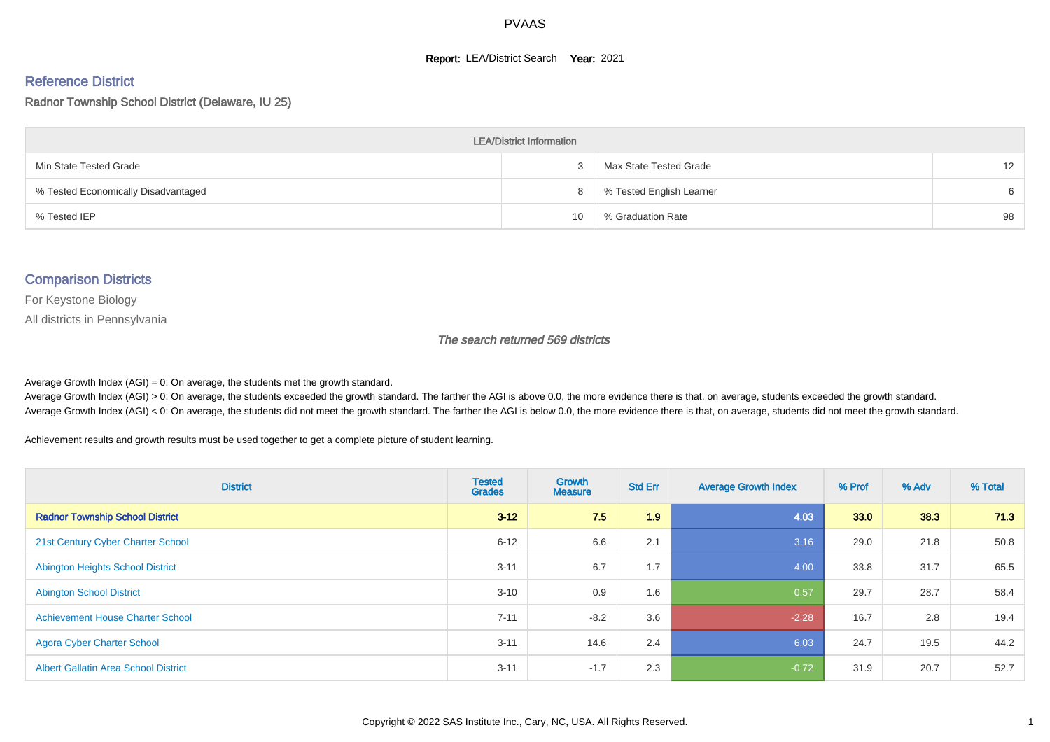#### **Report: LEA/District Search Year: 2021**

#### Reference District

Radnor Township School District (Delaware, IU 25)

| <b>LEA/District Information</b>     |    |                          |    |  |  |  |  |  |  |
|-------------------------------------|----|--------------------------|----|--|--|--|--|--|--|
| Min State Tested Grade              |    | Max State Tested Grade   | 12 |  |  |  |  |  |  |
| % Tested Economically Disadvantaged | 8  | % Tested English Learner | 6  |  |  |  |  |  |  |
| % Tested IEP                        | 10 | % Graduation Rate        | 98 |  |  |  |  |  |  |

#### Comparison Districts

For Keystone Biology

All districts in Pennsylvania

The search returned 569 districts

Average Growth Index  $(AGI) = 0$ : On average, the students met the growth standard.

Average Growth Index (AGI) > 0: On average, the students exceeded the growth standard. The farther the AGI is above 0.0, the more evidence there is that, on average, students exceeded the growth standard. Average Growth Index (AGI) < 0: On average, the students did not meet the growth standard. The farther the AGI is below 0.0, the more evidence there is that, on average, students did not meet the growth standard.

Achievement results and growth results must be used together to get a complete picture of student learning.

| <b>District</b>                             | <b>Tested</b><br><b>Grades</b> | <b>Growth</b><br><b>Measure</b> | <b>Std Err</b> | <b>Average Growth Index</b> | % Prof | % Adv | % Total |
|---------------------------------------------|--------------------------------|---------------------------------|----------------|-----------------------------|--------|-------|---------|
| <b>Radnor Township School District</b>      | $3 - 12$                       | 7.5                             | 1.9            | 4.03                        | 33.0   | 38.3  | 71.3    |
| 21st Century Cyber Charter School           | $6 - 12$                       | 6.6                             | 2.1            | 3.16                        | 29.0   | 21.8  | 50.8    |
| <b>Abington Heights School District</b>     | $3 - 11$                       | 6.7                             | 1.7            | 4.00                        | 33.8   | 31.7  | 65.5    |
| <b>Abington School District</b>             | $3 - 10$                       | 0.9                             | 1.6            | 0.57                        | 29.7   | 28.7  | 58.4    |
| <b>Achievement House Charter School</b>     | $7 - 11$                       | $-8.2$                          | 3.6            | $-2.28$                     | 16.7   | 2.8   | 19.4    |
| <b>Agora Cyber Charter School</b>           | $3 - 11$                       | 14.6                            | 2.4            | 6.03                        | 24.7   | 19.5  | 44.2    |
| <b>Albert Gallatin Area School District</b> | $3 - 11$                       | $-1.7$                          | 2.3            | $-0.72$                     | 31.9   | 20.7  | 52.7    |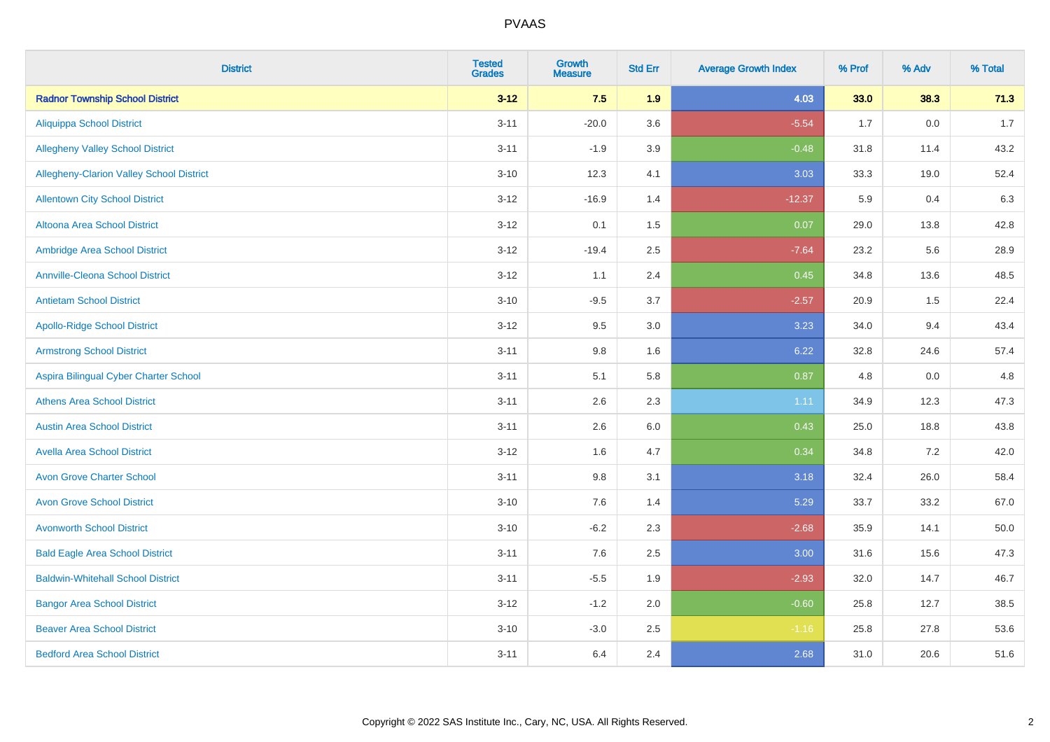| <b>District</b>                          | <b>Tested</b><br><b>Grades</b> | <b>Growth</b><br><b>Measure</b> | <b>Std Err</b> | <b>Average Growth Index</b> | % Prof | % Adv   | % Total |
|------------------------------------------|--------------------------------|---------------------------------|----------------|-----------------------------|--------|---------|---------|
| <b>Radnor Township School District</b>   | $3 - 12$                       | 7.5                             | 1.9            | 4.03                        | 33.0   | 38.3    | 71.3    |
| <b>Aliquippa School District</b>         | $3 - 11$                       | $-20.0$                         | 3.6            | $-5.54$                     | 1.7    | $0.0\,$ | 1.7     |
| <b>Allegheny Valley School District</b>  | $3 - 11$                       | $-1.9$                          | 3.9            | $-0.48$                     | 31.8   | 11.4    | 43.2    |
| Allegheny-Clarion Valley School District | $3 - 10$                       | 12.3                            | 4.1            | 3.03                        | 33.3   | 19.0    | 52.4    |
| <b>Allentown City School District</b>    | $3-12$                         | $-16.9$                         | 1.4            | $-12.37$                    | 5.9    | 0.4     | 6.3     |
| <b>Altoona Area School District</b>      | $3-12$                         | 0.1                             | 1.5            | 0.07                        | 29.0   | 13.8    | 42.8    |
| Ambridge Area School District            | $3 - 12$                       | $-19.4$                         | 2.5            | $-7.64$                     | 23.2   | 5.6     | 28.9    |
| <b>Annville-Cleona School District</b>   | $3 - 12$                       | 1.1                             | 2.4            | 0.45                        | 34.8   | 13.6    | 48.5    |
| <b>Antietam School District</b>          | $3 - 10$                       | $-9.5$                          | 3.7            | $-2.57$                     | 20.9   | 1.5     | 22.4    |
| <b>Apollo-Ridge School District</b>      | $3 - 12$                       | 9.5                             | 3.0            | 3.23                        | 34.0   | 9.4     | 43.4    |
| <b>Armstrong School District</b>         | $3 - 11$                       | $9.8\,$                         | 1.6            | 6.22                        | 32.8   | 24.6    | 57.4    |
| Aspira Bilingual Cyber Charter School    | $3 - 11$                       | 5.1                             | 5.8            | 0.87                        | 4.8    | 0.0     | 4.8     |
| <b>Athens Area School District</b>       | $3 - 11$                       | 2.6                             | 2.3            | 1.11                        | 34.9   | 12.3    | 47.3    |
| <b>Austin Area School District</b>       | $3 - 11$                       | 2.6                             | 6.0            | 0.43                        | 25.0   | 18.8    | 43.8    |
| <b>Avella Area School District</b>       | $3 - 12$                       | 1.6                             | 4.7            | 0.34                        | 34.8   | 7.2     | 42.0    |
| <b>Avon Grove Charter School</b>         | $3 - 11$                       | 9.8                             | 3.1            | 3.18                        | 32.4   | 26.0    | 58.4    |
| <b>Avon Grove School District</b>        | $3 - 10$                       | 7.6                             | 1.4            | 5.29                        | 33.7   | 33.2    | 67.0    |
| <b>Avonworth School District</b>         | $3 - 10$                       | $-6.2$                          | 2.3            | $-2.68$                     | 35.9   | 14.1    | 50.0    |
| <b>Bald Eagle Area School District</b>   | $3 - 11$                       | 7.6                             | 2.5            | 3.00                        | 31.6   | 15.6    | 47.3    |
| <b>Baldwin-Whitehall School District</b> | $3 - 11$                       | $-5.5$                          | 1.9            | $-2.93$                     | 32.0   | 14.7    | 46.7    |
| <b>Bangor Area School District</b>       | $3 - 12$                       | $-1.2$                          | 2.0            | $-0.60$                     | 25.8   | 12.7    | 38.5    |
| <b>Beaver Area School District</b>       | $3 - 10$                       | $-3.0$                          | 2.5            | $-1.16$                     | 25.8   | 27.8    | 53.6    |
| <b>Bedford Area School District</b>      | $3 - 11$                       | 6.4                             | 2.4            | 2.68                        | 31.0   | 20.6    | 51.6    |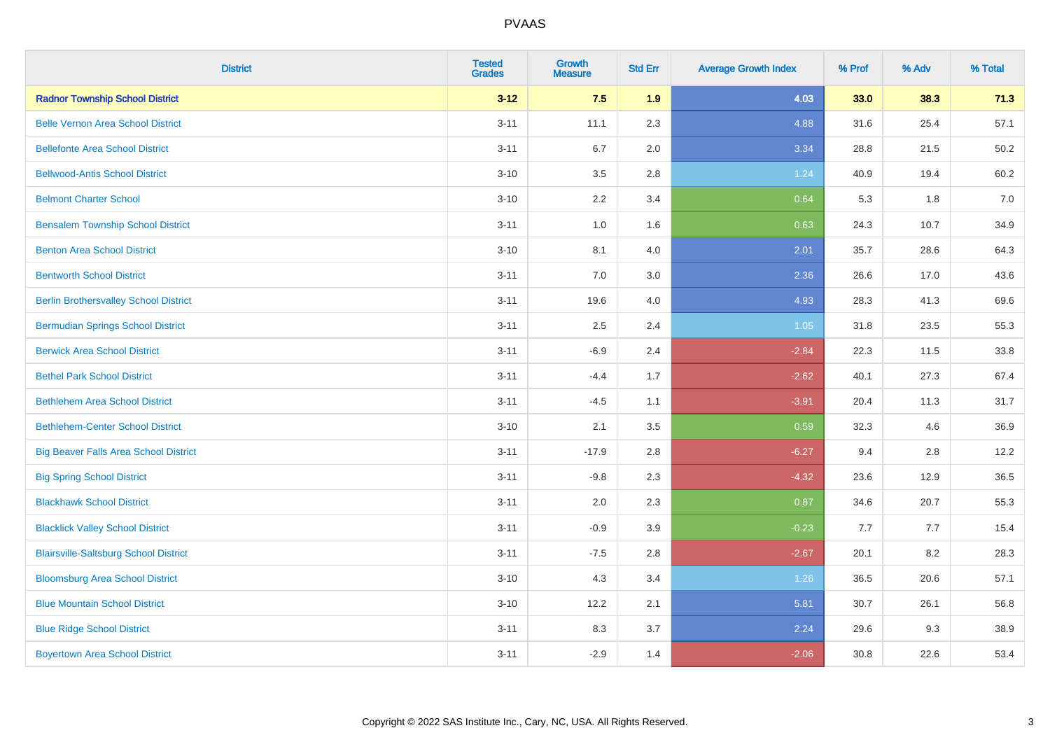| <b>District</b>                              | <b>Tested</b><br><b>Grades</b> | <b>Growth</b><br><b>Measure</b> | <b>Std Err</b> | <b>Average Growth Index</b> | % Prof | % Adv | % Total |
|----------------------------------------------|--------------------------------|---------------------------------|----------------|-----------------------------|--------|-------|---------|
| <b>Radnor Township School District</b>       | $3 - 12$                       | 7.5                             | 1.9            | 4.03                        | 33.0   | 38.3  | 71.3    |
| <b>Belle Vernon Area School District</b>     | $3 - 11$                       | 11.1                            | 2.3            | 4.88                        | 31.6   | 25.4  | 57.1    |
| <b>Bellefonte Area School District</b>       | $3 - 11$                       | 6.7                             | 2.0            | 3.34                        | 28.8   | 21.5  | 50.2    |
| <b>Bellwood-Antis School District</b>        | $3 - 10$                       | 3.5                             | 2.8            | 1.24                        | 40.9   | 19.4  | 60.2    |
| <b>Belmont Charter School</b>                | $3 - 10$                       | 2.2                             | 3.4            | 0.64                        | 5.3    | 1.8   | 7.0     |
| <b>Bensalem Township School District</b>     | $3 - 11$                       | 1.0                             | 1.6            | 0.63                        | 24.3   | 10.7  | 34.9    |
| <b>Benton Area School District</b>           | $3 - 10$                       | 8.1                             | 4.0            | 2.01                        | 35.7   | 28.6  | 64.3    |
| <b>Bentworth School District</b>             | $3 - 11$                       | 7.0                             | 3.0            | 2.36                        | 26.6   | 17.0  | 43.6    |
| <b>Berlin Brothersvalley School District</b> | $3 - 11$                       | 19.6                            | 4.0            | 4.93                        | 28.3   | 41.3  | 69.6    |
| <b>Bermudian Springs School District</b>     | $3 - 11$                       | 2.5                             | 2.4            | 1.05                        | 31.8   | 23.5  | 55.3    |
| <b>Berwick Area School District</b>          | $3 - 11$                       | $-6.9$                          | 2.4            | $-2.84$                     | 22.3   | 11.5  | 33.8    |
| <b>Bethel Park School District</b>           | $3 - 11$                       | $-4.4$                          | 1.7            | $-2.62$                     | 40.1   | 27.3  | 67.4    |
| <b>Bethlehem Area School District</b>        | $3 - 11$                       | $-4.5$                          | 1.1            | $-3.91$                     | 20.4   | 11.3  | 31.7    |
| <b>Bethlehem-Center School District</b>      | $3 - 10$                       | 2.1                             | 3.5            | 0.59                        | 32.3   | 4.6   | 36.9    |
| <b>Big Beaver Falls Area School District</b> | $3 - 11$                       | $-17.9$                         | 2.8            | $-6.27$                     | 9.4    | 2.8   | 12.2    |
| <b>Big Spring School District</b>            | $3 - 11$                       | $-9.8$                          | 2.3            | $-4.32$                     | 23.6   | 12.9  | 36.5    |
| <b>Blackhawk School District</b>             | $3 - 11$                       | 2.0                             | 2.3            | 0.87                        | 34.6   | 20.7  | 55.3    |
| <b>Blacklick Valley School District</b>      | $3 - 11$                       | $-0.9$                          | 3.9            | $-0.23$                     | 7.7    | 7.7   | 15.4    |
| <b>Blairsville-Saltsburg School District</b> | $3 - 11$                       | $-7.5$                          | 2.8            | $-2.67$                     | 20.1   | 8.2   | 28.3    |
| <b>Bloomsburg Area School District</b>       | $3 - 10$                       | 4.3                             | 3.4            | 1.26                        | 36.5   | 20.6  | 57.1    |
| <b>Blue Mountain School District</b>         | $3 - 10$                       | 12.2                            | 2.1            | 5.81                        | 30.7   | 26.1  | 56.8    |
| <b>Blue Ridge School District</b>            | $3 - 11$                       | 8.3                             | 3.7            | 2.24                        | 29.6   | 9.3   | 38.9    |
| <b>Boyertown Area School District</b>        | $3 - 11$                       | $-2.9$                          | 1.4            | $-2.06$                     | 30.8   | 22.6  | 53.4    |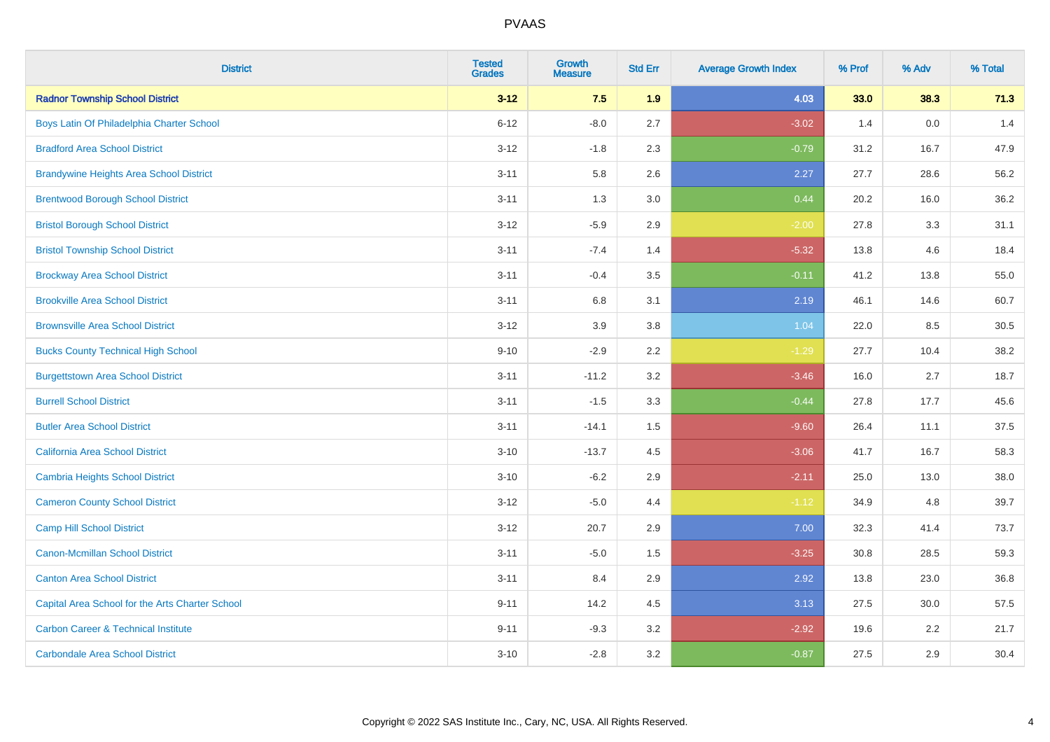| <b>District</b>                                 | <b>Tested</b><br><b>Grades</b> | <b>Growth</b><br><b>Measure</b> | <b>Std Err</b> | <b>Average Growth Index</b> | % Prof | % Adv | % Total |
|-------------------------------------------------|--------------------------------|---------------------------------|----------------|-----------------------------|--------|-------|---------|
| <b>Radnor Township School District</b>          | $3 - 12$                       | 7.5                             | 1.9            | 4.03                        | 33.0   | 38.3  | 71.3    |
| Boys Latin Of Philadelphia Charter School       | $6 - 12$                       | $-8.0$                          | 2.7            | $-3.02$                     | 1.4    | 0.0   | 1.4     |
| <b>Bradford Area School District</b>            | $3 - 12$                       | $-1.8$                          | 2.3            | $-0.79$                     | 31.2   | 16.7  | 47.9    |
| <b>Brandywine Heights Area School District</b>  | $3 - 11$                       | 5.8                             | 2.6            | 2.27                        | 27.7   | 28.6  | 56.2    |
| <b>Brentwood Borough School District</b>        | $3 - 11$                       | 1.3                             | 3.0            | 0.44                        | 20.2   | 16.0  | 36.2    |
| <b>Bristol Borough School District</b>          | $3 - 12$                       | $-5.9$                          | 2.9            | $-2.00$                     | 27.8   | 3.3   | 31.1    |
| <b>Bristol Township School District</b>         | $3 - 11$                       | $-7.4$                          | 1.4            | $-5.32$                     | 13.8   | 4.6   | 18.4    |
| <b>Brockway Area School District</b>            | $3 - 11$                       | $-0.4$                          | 3.5            | $-0.11$                     | 41.2   | 13.8  | 55.0    |
| <b>Brookville Area School District</b>          | $3 - 11$                       | 6.8                             | 3.1            | 2.19                        | 46.1   | 14.6  | 60.7    |
| <b>Brownsville Area School District</b>         | $3 - 12$                       | 3.9                             | 3.8            | 1.04                        | 22.0   | 8.5   | 30.5    |
| <b>Bucks County Technical High School</b>       | $9 - 10$                       | $-2.9$                          | 2.2            | $-1.29$                     | 27.7   | 10.4  | 38.2    |
| <b>Burgettstown Area School District</b>        | $3 - 11$                       | $-11.2$                         | 3.2            | $-3.46$                     | 16.0   | 2.7   | 18.7    |
| <b>Burrell School District</b>                  | $3 - 11$                       | $-1.5$                          | 3.3            | $-0.44$                     | 27.8   | 17.7  | 45.6    |
| <b>Butler Area School District</b>              | $3 - 11$                       | $-14.1$                         | 1.5            | $-9.60$                     | 26.4   | 11.1  | 37.5    |
| California Area School District                 | $3 - 10$                       | $-13.7$                         | 4.5            | $-3.06$                     | 41.7   | 16.7  | 58.3    |
| <b>Cambria Heights School District</b>          | $3 - 10$                       | $-6.2$                          | 2.9            | $-2.11$                     | 25.0   | 13.0  | 38.0    |
| <b>Cameron County School District</b>           | $3 - 12$                       | $-5.0$                          | 4.4            | $-1.12$                     | 34.9   | 4.8   | 39.7    |
| <b>Camp Hill School District</b>                | $3 - 12$                       | 20.7                            | 2.9            | 7.00                        | 32.3   | 41.4  | 73.7    |
| <b>Canon-Mcmillan School District</b>           | $3 - 11$                       | $-5.0$                          | $1.5$          | $-3.25$                     | 30.8   | 28.5  | 59.3    |
| <b>Canton Area School District</b>              | $3 - 11$                       | 8.4                             | 2.9            | 2.92                        | 13.8   | 23.0  | 36.8    |
| Capital Area School for the Arts Charter School | $9 - 11$                       | 14.2                            | 4.5            | 3.13                        | 27.5   | 30.0  | 57.5    |
| <b>Carbon Career &amp; Technical Institute</b>  | $9 - 11$                       | $-9.3$                          | 3.2            | $-2.92$                     | 19.6   | 2.2   | 21.7    |
| <b>Carbondale Area School District</b>          | $3 - 10$                       | $-2.8$                          | 3.2            | $-0.87$                     | 27.5   | 2.9   | 30.4    |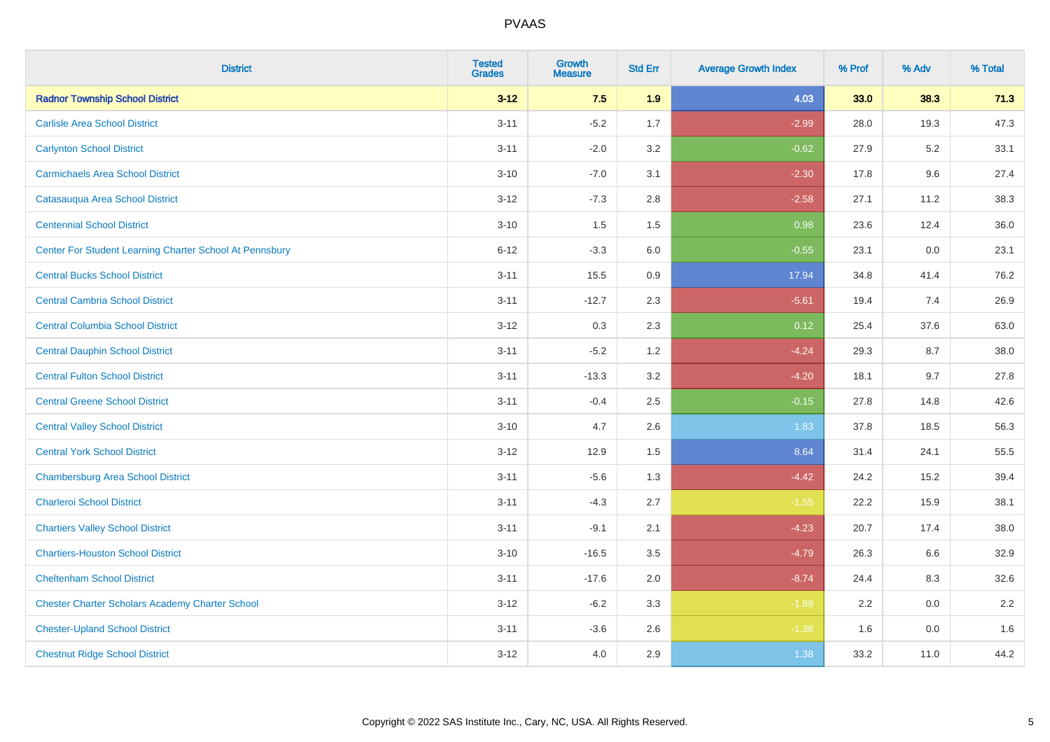| <b>District</b>                                         | <b>Tested</b><br><b>Grades</b> | <b>Growth</b><br><b>Measure</b> | <b>Std Err</b> | <b>Average Growth Index</b> | % Prof | % Adv | % Total |
|---------------------------------------------------------|--------------------------------|---------------------------------|----------------|-----------------------------|--------|-------|---------|
| <b>Radnor Township School District</b>                  | $3 - 12$                       | 7.5                             | 1.9            | 4.03                        | 33.0   | 38.3  | 71.3    |
| <b>Carlisle Area School District</b>                    | $3 - 11$                       | $-5.2$                          | 1.7            | $-2.99$                     | 28.0   | 19.3  | 47.3    |
| <b>Carlynton School District</b>                        | $3 - 11$                       | $-2.0$                          | 3.2            | $-0.62$                     | 27.9   | 5.2   | 33.1    |
| <b>Carmichaels Area School District</b>                 | $3 - 10$                       | $-7.0$                          | 3.1            | $-2.30$                     | 17.8   | 9.6   | 27.4    |
| Catasauqua Area School District                         | $3 - 12$                       | $-7.3$                          | 2.8            | $-2.58$                     | 27.1   | 11.2  | 38.3    |
| <b>Centennial School District</b>                       | $3 - 10$                       | 1.5                             | 1.5            | 0.98                        | 23.6   | 12.4  | 36.0    |
| Center For Student Learning Charter School At Pennsbury | $6 - 12$                       | $-3.3$                          | 6.0            | $-0.55$                     | 23.1   | 0.0   | 23.1    |
| <b>Central Bucks School District</b>                    | $3 - 11$                       | 15.5                            | 0.9            | 17.94                       | 34.8   | 41.4  | 76.2    |
| <b>Central Cambria School District</b>                  | $3 - 11$                       | $-12.7$                         | 2.3            | $-5.61$                     | 19.4   | 7.4   | 26.9    |
| <b>Central Columbia School District</b>                 | $3-12$                         | 0.3                             | 2.3            | 0.12                        | 25.4   | 37.6  | 63.0    |
| <b>Central Dauphin School District</b>                  | $3 - 11$                       | $-5.2$                          | 1.2            | $-4.24$                     | 29.3   | 8.7   | 38.0    |
| <b>Central Fulton School District</b>                   | $3 - 11$                       | $-13.3$                         | 3.2            | $-4.20$                     | 18.1   | 9.7   | 27.8    |
| <b>Central Greene School District</b>                   | $3 - 11$                       | $-0.4$                          | 2.5            | $-0.15$                     | 27.8   | 14.8  | 42.6    |
| <b>Central Valley School District</b>                   | $3 - 10$                       | 4.7                             | 2.6            | 1.83                        | 37.8   | 18.5  | 56.3    |
| <b>Central York School District</b>                     | $3-12$                         | 12.9                            | 1.5            | 8.64                        | 31.4   | 24.1  | 55.5    |
| <b>Chambersburg Area School District</b>                | $3 - 11$                       | $-5.6$                          | 1.3            | $-4.42$                     | 24.2   | 15.2  | 39.4    |
| <b>Charleroi School District</b>                        | $3 - 11$                       | $-4.3$                          | 2.7            | $-1.55$                     | 22.2   | 15.9  | 38.1    |
| <b>Chartiers Valley School District</b>                 | $3 - 11$                       | $-9.1$                          | 2.1            | $-4.23$                     | 20.7   | 17.4  | 38.0    |
| <b>Chartiers-Houston School District</b>                | $3 - 10$                       | $-16.5$                         | 3.5            | $-4.79$                     | 26.3   | 6.6   | 32.9    |
| <b>Cheltenham School District</b>                       | $3 - 11$                       | $-17.6$                         | 2.0            | $-8.74$                     | 24.4   | 8.3   | 32.6    |
| <b>Chester Charter Scholars Academy Charter School</b>  | $3 - 12$                       | $-6.2$                          | 3.3            | $-1.88$                     | 2.2    | 0.0   | 2.2     |
| <b>Chester-Upland School District</b>                   | $3 - 11$                       | $-3.6$                          | 2.6            | $-1.38$                     | 1.6    | 0.0   | 1.6     |
| <b>Chestnut Ridge School District</b>                   | $3 - 12$                       | 4.0                             | 2.9            | 1.38                        | 33.2   | 11.0  | 44.2    |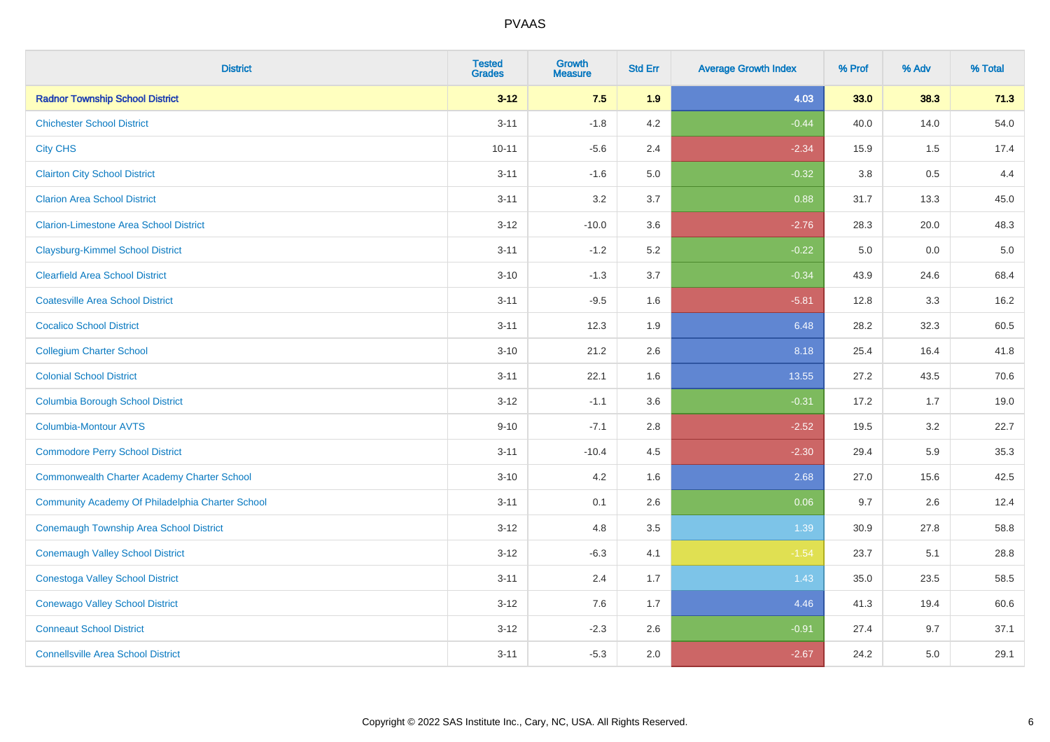| <b>District</b>                                    | <b>Tested</b><br><b>Grades</b> | <b>Growth</b><br><b>Measure</b> | <b>Std Err</b> | <b>Average Growth Index</b> | % Prof  | % Adv | % Total |
|----------------------------------------------------|--------------------------------|---------------------------------|----------------|-----------------------------|---------|-------|---------|
| <b>Radnor Township School District</b>             | $3 - 12$                       | 7.5                             | 1.9            | 4.03                        | 33.0    | 38.3  | 71.3    |
| <b>Chichester School District</b>                  | $3 - 11$                       | $-1.8$                          | 4.2            | $-0.44$                     | 40.0    | 14.0  | 54.0    |
| <b>City CHS</b>                                    | $10 - 11$                      | $-5.6$                          | 2.4            | $-2.34$                     | 15.9    | 1.5   | 17.4    |
| <b>Clairton City School District</b>               | $3 - 11$                       | $-1.6$                          | $5.0\,$        | $-0.32$                     | $3.8\,$ | 0.5   | 4.4     |
| <b>Clarion Area School District</b>                | $3 - 11$                       | 3.2                             | 3.7            | 0.88                        | 31.7    | 13.3  | 45.0    |
| <b>Clarion-Limestone Area School District</b>      | $3 - 12$                       | $-10.0$                         | 3.6            | $-2.76$                     | 28.3    | 20.0  | 48.3    |
| <b>Claysburg-Kimmel School District</b>            | $3 - 11$                       | $-1.2$                          | 5.2            | $-0.22$                     | 5.0     | 0.0   | $5.0$   |
| <b>Clearfield Area School District</b>             | $3 - 10$                       | $-1.3$                          | 3.7            | $-0.34$                     | 43.9    | 24.6  | 68.4    |
| <b>Coatesville Area School District</b>            | $3 - 11$                       | $-9.5$                          | 1.6            | $-5.81$                     | 12.8    | 3.3   | 16.2    |
| <b>Cocalico School District</b>                    | $3 - 11$                       | 12.3                            | 1.9            | 6.48                        | 28.2    | 32.3  | 60.5    |
| <b>Collegium Charter School</b>                    | $3 - 10$                       | 21.2                            | 2.6            | 8.18                        | 25.4    | 16.4  | 41.8    |
| <b>Colonial School District</b>                    | $3 - 11$                       | 22.1                            | 1.6            | 13.55                       | 27.2    | 43.5  | 70.6    |
| <b>Columbia Borough School District</b>            | $3 - 12$                       | $-1.1$                          | 3.6            | $-0.31$                     | 17.2    | 1.7   | 19.0    |
| <b>Columbia-Montour AVTS</b>                       | $9 - 10$                       | $-7.1$                          | 2.8            | $-2.52$                     | 19.5    | 3.2   | 22.7    |
| <b>Commodore Perry School District</b>             | $3 - 11$                       | $-10.4$                         | 4.5            | $-2.30$                     | 29.4    | 5.9   | 35.3    |
| <b>Commonwealth Charter Academy Charter School</b> | $3 - 10$                       | 4.2                             | 1.6            | 2.68                        | 27.0    | 15.6  | 42.5    |
| Community Academy Of Philadelphia Charter School   | $3 - 11$                       | 0.1                             | 2.6            | 0.06                        | 9.7     | 2.6   | 12.4    |
| <b>Conemaugh Township Area School District</b>     | $3 - 12$                       | 4.8                             | 3.5            | 1.39                        | 30.9    | 27.8  | 58.8    |
| <b>Conemaugh Valley School District</b>            | $3 - 12$                       | $-6.3$                          | 4.1            | $-1.54$                     | 23.7    | 5.1   | 28.8    |
| <b>Conestoga Valley School District</b>            | $3 - 11$                       | 2.4                             | 1.7            | 1.43                        | 35.0    | 23.5  | 58.5    |
| <b>Conewago Valley School District</b>             | $3 - 12$                       | 7.6                             | 1.7            | 4.46                        | 41.3    | 19.4  | 60.6    |
| <b>Conneaut School District</b>                    | $3 - 12$                       | $-2.3$                          | 2.6            | $-0.91$                     | 27.4    | 9.7   | 37.1    |
| <b>Connellsville Area School District</b>          | $3 - 11$                       | $-5.3$                          | 2.0            | $-2.67$                     | 24.2    | 5.0   | 29.1    |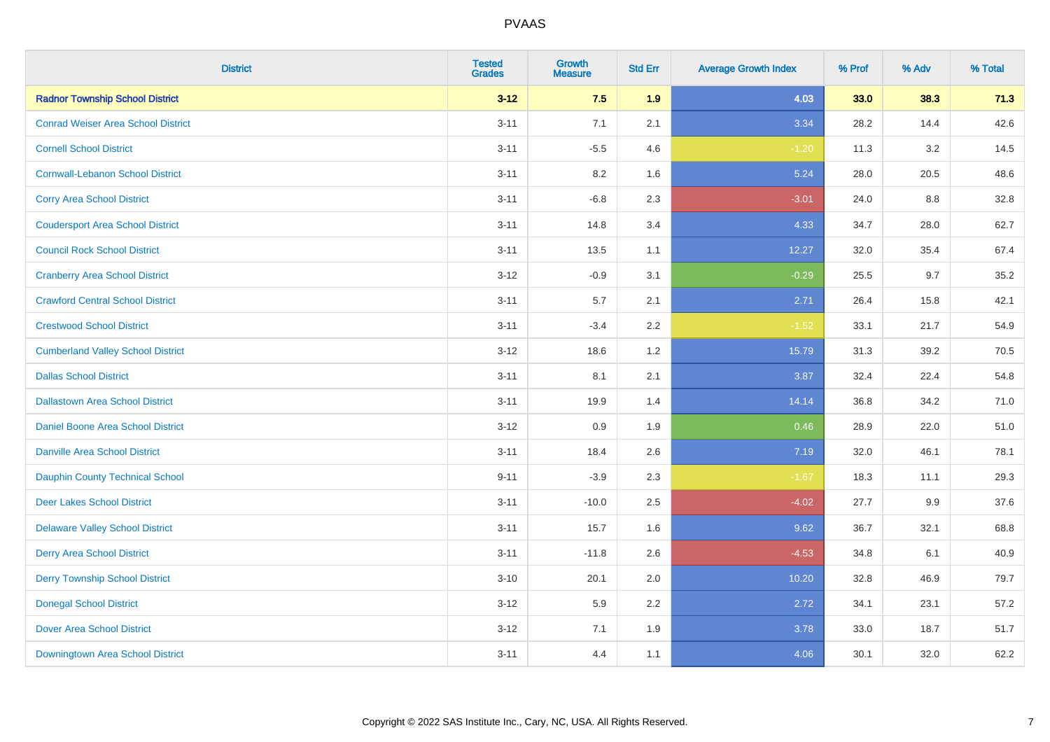| <b>District</b>                           | <b>Tested</b><br><b>Grades</b> | Growth<br><b>Measure</b> | <b>Std Err</b> | <b>Average Growth Index</b> | % Prof | % Adv | % Total |
|-------------------------------------------|--------------------------------|--------------------------|----------------|-----------------------------|--------|-------|---------|
| <b>Radnor Township School District</b>    | $3 - 12$                       | 7.5                      | 1.9            | 4.03                        | 33.0   | 38.3  | 71.3    |
| <b>Conrad Weiser Area School District</b> | $3 - 11$                       | 7.1                      | 2.1            | 3.34                        | 28.2   | 14.4  | 42.6    |
| <b>Cornell School District</b>            | $3 - 11$                       | $-5.5$                   | 4.6            | $-1.20$                     | 11.3   | 3.2   | 14.5    |
| <b>Cornwall-Lebanon School District</b>   | $3 - 11$                       | $8.2\,$                  | 1.6            | 5.24                        | 28.0   | 20.5  | 48.6    |
| <b>Corry Area School District</b>         | $3 - 11$                       | $-6.8$                   | 2.3            | $-3.01$                     | 24.0   | 8.8   | 32.8    |
| <b>Coudersport Area School District</b>   | $3 - 11$                       | 14.8                     | 3.4            | 4.33                        | 34.7   | 28.0  | 62.7    |
| <b>Council Rock School District</b>       | $3 - 11$                       | 13.5                     | 1.1            | 12.27                       | 32.0   | 35.4  | 67.4    |
| <b>Cranberry Area School District</b>     | $3 - 12$                       | $-0.9$                   | 3.1            | $-0.29$                     | 25.5   | 9.7   | 35.2    |
| <b>Crawford Central School District</b>   | $3 - 11$                       | 5.7                      | 2.1            | 2.71                        | 26.4   | 15.8  | 42.1    |
| <b>Crestwood School District</b>          | $3 - 11$                       | $-3.4$                   | $2.2\,$        | $-1.52$                     | 33.1   | 21.7  | 54.9    |
| <b>Cumberland Valley School District</b>  | $3 - 12$                       | 18.6                     | 1.2            | 15.79                       | 31.3   | 39.2  | 70.5    |
| <b>Dallas School District</b>             | $3 - 11$                       | 8.1                      | 2.1            | 3.87                        | 32.4   | 22.4  | 54.8    |
| <b>Dallastown Area School District</b>    | $3 - 11$                       | 19.9                     | 1.4            | 14.14                       | 36.8   | 34.2  | 71.0    |
| Daniel Boone Area School District         | $3 - 12$                       | 0.9                      | 1.9            | 0.46                        | 28.9   | 22.0  | 51.0    |
| <b>Danville Area School District</b>      | $3 - 11$                       | 18.4                     | 2.6            | 7.19                        | 32.0   | 46.1  | 78.1    |
| <b>Dauphin County Technical School</b>    | $9 - 11$                       | $-3.9$                   | 2.3            | $-1.67$                     | 18.3   | 11.1  | 29.3    |
| <b>Deer Lakes School District</b>         | $3 - 11$                       | $-10.0$                  | 2.5            | $-4.02$                     | 27.7   | 9.9   | 37.6    |
| <b>Delaware Valley School District</b>    | $3 - 11$                       | 15.7                     | 1.6            | 9.62                        | 36.7   | 32.1  | 68.8    |
| <b>Derry Area School District</b>         | $3 - 11$                       | $-11.8$                  | 2.6            | $-4.53$                     | 34.8   | 6.1   | 40.9    |
| <b>Derry Township School District</b>     | $3 - 10$                       | 20.1                     | 2.0            | 10.20                       | 32.8   | 46.9  | 79.7    |
| <b>Donegal School District</b>            | $3 - 12$                       | 5.9                      | 2.2            | 2.72                        | 34.1   | 23.1  | 57.2    |
| <b>Dover Area School District</b>         | $3 - 12$                       | 7.1                      | 1.9            | 3.78                        | 33.0   | 18.7  | 51.7    |
| Downingtown Area School District          | $3 - 11$                       | 4.4                      | 1.1            | 4.06                        | 30.1   | 32.0  | 62.2    |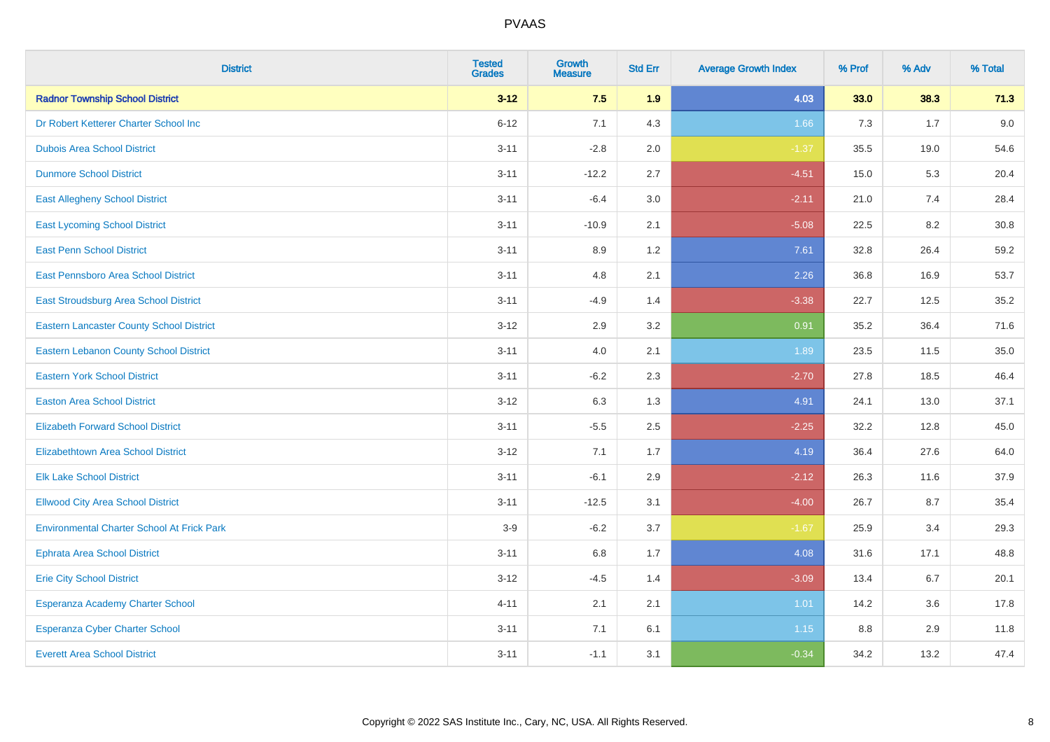| <b>District</b>                                   | <b>Tested</b><br><b>Grades</b> | <b>Growth</b><br><b>Measure</b> | <b>Std Err</b> | <b>Average Growth Index</b> | % Prof | % Adv | % Total |
|---------------------------------------------------|--------------------------------|---------------------------------|----------------|-----------------------------|--------|-------|---------|
| <b>Radnor Township School District</b>            | $3 - 12$                       | 7.5                             | 1.9            | 4.03                        | 33.0   | 38.3  | 71.3    |
| Dr Robert Ketterer Charter School Inc             | $6 - 12$                       | 7.1                             | 4.3            | 1.66                        | 7.3    | 1.7   | 9.0     |
| <b>Dubois Area School District</b>                | $3 - 11$                       | $-2.8$                          | 2.0            | $-1.37$                     | 35.5   | 19.0  | 54.6    |
| <b>Dunmore School District</b>                    | $3 - 11$                       | $-12.2$                         | 2.7            | $-4.51$                     | 15.0   | 5.3   | 20.4    |
| <b>East Allegheny School District</b>             | $3 - 11$                       | $-6.4$                          | 3.0            | $-2.11$                     | 21.0   | 7.4   | 28.4    |
| <b>East Lycoming School District</b>              | $3 - 11$                       | $-10.9$                         | 2.1            | $-5.08$                     | 22.5   | 8.2   | 30.8    |
| <b>East Penn School District</b>                  | $3 - 11$                       | 8.9                             | 1.2            | 7.61                        | 32.8   | 26.4  | 59.2    |
| East Pennsboro Area School District               | $3 - 11$                       | 4.8                             | 2.1            | 2.26                        | 36.8   | 16.9  | 53.7    |
| East Stroudsburg Area School District             | $3 - 11$                       | $-4.9$                          | 1.4            | $-3.38$                     | 22.7   | 12.5  | 35.2    |
| <b>Eastern Lancaster County School District</b>   | $3 - 12$                       | 2.9                             | 3.2            | 0.91                        | 35.2   | 36.4  | 71.6    |
| Eastern Lebanon County School District            | $3 - 11$                       | 4.0                             | 2.1            | 1.89                        | 23.5   | 11.5  | 35.0    |
| <b>Eastern York School District</b>               | $3 - 11$                       | $-6.2$                          | 2.3            | $-2.70$                     | 27.8   | 18.5  | 46.4    |
| <b>Easton Area School District</b>                | $3 - 12$                       | 6.3                             | 1.3            | 4.91                        | 24.1   | 13.0  | 37.1    |
| <b>Elizabeth Forward School District</b>          | $3 - 11$                       | $-5.5$                          | 2.5            | $-2.25$                     | 32.2   | 12.8  | 45.0    |
| <b>Elizabethtown Area School District</b>         | $3 - 12$                       | 7.1                             | 1.7            | 4.19                        | 36.4   | 27.6  | 64.0    |
| <b>Elk Lake School District</b>                   | $3 - 11$                       | $-6.1$                          | 2.9            | $-2.12$                     | 26.3   | 11.6  | 37.9    |
| <b>Ellwood City Area School District</b>          | $3 - 11$                       | $-12.5$                         | 3.1            | $-4.00$                     | 26.7   | 8.7   | 35.4    |
| <b>Environmental Charter School At Frick Park</b> | $3-9$                          | $-6.2$                          | 3.7            | $-1.67$                     | 25.9   | 3.4   | 29.3    |
| <b>Ephrata Area School District</b>               | $3 - 11$                       | $6.8\,$                         | 1.7            | 4.08                        | 31.6   | 17.1  | 48.8    |
| <b>Erie City School District</b>                  | $3 - 12$                       | $-4.5$                          | 1.4            | $-3.09$                     | 13.4   | 6.7   | 20.1    |
| Esperanza Academy Charter School                  | $4 - 11$                       | 2.1                             | 2.1            | 1.01                        | 14.2   | 3.6   | 17.8    |
| <b>Esperanza Cyber Charter School</b>             | $3 - 11$                       | 7.1                             | 6.1            | $1.15$                      | 8.8    | 2.9   | 11.8    |
| <b>Everett Area School District</b>               | $3 - 11$                       | $-1.1$                          | 3.1            | $-0.34$                     | 34.2   | 13.2  | 47.4    |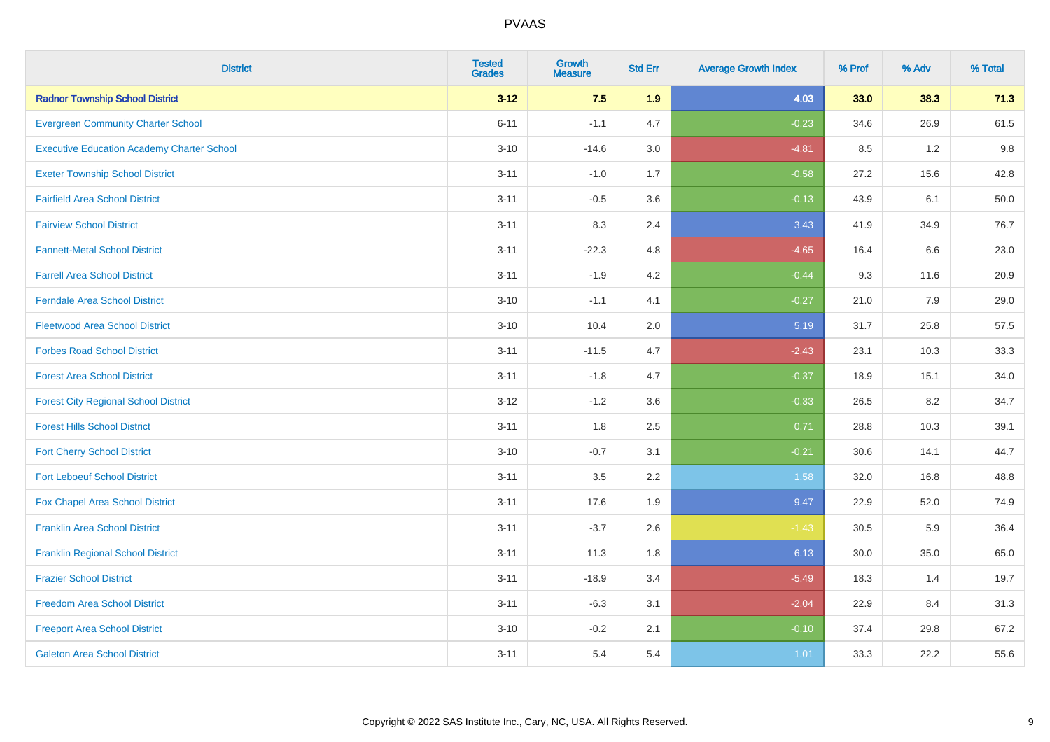| <b>District</b>                                   | <b>Tested</b><br><b>Grades</b> | <b>Growth</b><br><b>Measure</b> | <b>Std Err</b> | <b>Average Growth Index</b> | % Prof | % Adv | % Total |
|---------------------------------------------------|--------------------------------|---------------------------------|----------------|-----------------------------|--------|-------|---------|
| <b>Radnor Township School District</b>            | $3 - 12$                       | 7.5                             | 1.9            | 4.03                        | 33.0   | 38.3  | 71.3    |
| <b>Evergreen Community Charter School</b>         | $6 - 11$                       | $-1.1$                          | 4.7            | $-0.23$                     | 34.6   | 26.9  | 61.5    |
| <b>Executive Education Academy Charter School</b> | $3 - 10$                       | $-14.6$                         | 3.0            | $-4.81$                     | 8.5    | 1.2   | 9.8     |
| <b>Exeter Township School District</b>            | $3 - 11$                       | $-1.0$                          | 1.7            | $-0.58$                     | 27.2   | 15.6  | 42.8    |
| <b>Fairfield Area School District</b>             | $3 - 11$                       | $-0.5$                          | 3.6            | $-0.13$                     | 43.9   | 6.1   | 50.0    |
| <b>Fairview School District</b>                   | $3 - 11$                       | 8.3                             | 2.4            | 3.43                        | 41.9   | 34.9  | 76.7    |
| <b>Fannett-Metal School District</b>              | $3 - 11$                       | $-22.3$                         | 4.8            | $-4.65$                     | 16.4   | 6.6   | 23.0    |
| <b>Farrell Area School District</b>               | $3 - 11$                       | $-1.9$                          | 4.2            | $-0.44$                     | 9.3    | 11.6  | 20.9    |
| <b>Ferndale Area School District</b>              | $3 - 10$                       | $-1.1$                          | 4.1            | $-0.27$                     | 21.0   | 7.9   | 29.0    |
| <b>Fleetwood Area School District</b>             | $3 - 10$                       | 10.4                            | 2.0            | 5.19                        | 31.7   | 25.8  | 57.5    |
| <b>Forbes Road School District</b>                | $3 - 11$                       | $-11.5$                         | 4.7            | $-2.43$                     | 23.1   | 10.3  | 33.3    |
| <b>Forest Area School District</b>                | $3 - 11$                       | $-1.8$                          | 4.7            | $-0.37$                     | 18.9   | 15.1  | 34.0    |
| <b>Forest City Regional School District</b>       | $3 - 12$                       | $-1.2$                          | 3.6            | $-0.33$                     | 26.5   | 8.2   | 34.7    |
| <b>Forest Hills School District</b>               | $3 - 11$                       | 1.8                             | 2.5            | 0.71                        | 28.8   | 10.3  | 39.1    |
| <b>Fort Cherry School District</b>                | $3 - 10$                       | $-0.7$                          | 3.1            | $-0.21$                     | 30.6   | 14.1  | 44.7    |
| <b>Fort Leboeuf School District</b>               | $3 - 11$                       | 3.5                             | 2.2            | 1.58                        | 32.0   | 16.8  | 48.8    |
| Fox Chapel Area School District                   | $3 - 11$                       | 17.6                            | 1.9            | 9.47                        | 22.9   | 52.0  | 74.9    |
| <b>Franklin Area School District</b>              | $3 - 11$                       | $-3.7$                          | 2.6            | $-1.43$                     | 30.5   | 5.9   | 36.4    |
| <b>Franklin Regional School District</b>          | $3 - 11$                       | 11.3                            | 1.8            | 6.13                        | 30.0   | 35.0  | 65.0    |
| <b>Frazier School District</b>                    | $3 - 11$                       | $-18.9$                         | 3.4            | $-5.49$                     | 18.3   | 1.4   | 19.7    |
| <b>Freedom Area School District</b>               | $3 - 11$                       | $-6.3$                          | 3.1            | $-2.04$                     | 22.9   | 8.4   | 31.3    |
| <b>Freeport Area School District</b>              | $3 - 10$                       | $-0.2$                          | 2.1            | $-0.10$                     | 37.4   | 29.8  | 67.2    |
| <b>Galeton Area School District</b>               | $3 - 11$                       | 5.4                             | 5.4            | 1.01                        | 33.3   | 22.2  | 55.6    |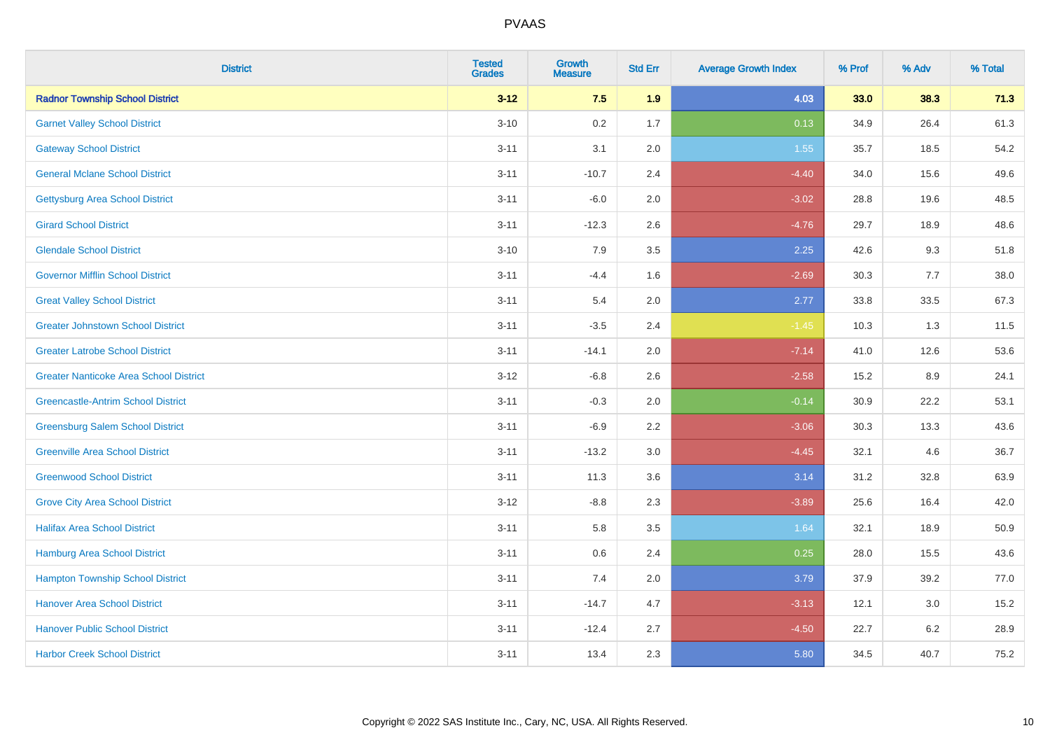| <b>District</b>                               | <b>Tested</b><br><b>Grades</b> | Growth<br><b>Measure</b> | <b>Std Err</b> | <b>Average Growth Index</b> | % Prof | % Adv   | % Total |
|-----------------------------------------------|--------------------------------|--------------------------|----------------|-----------------------------|--------|---------|---------|
| <b>Radnor Township School District</b>        | $3 - 12$                       | 7.5                      | 1.9            | 4.03                        | 33.0   | 38.3    | 71.3    |
| <b>Garnet Valley School District</b>          | $3 - 10$                       | 0.2                      | 1.7            | 0.13                        | 34.9   | 26.4    | 61.3    |
| <b>Gateway School District</b>                | $3 - 11$                       | 3.1                      | 2.0            | 1.55                        | 35.7   | 18.5    | 54.2    |
| <b>General Mclane School District</b>         | $3 - 11$                       | $-10.7$                  | 2.4            | $-4.40$                     | 34.0   | 15.6    | 49.6    |
| <b>Gettysburg Area School District</b>        | $3 - 11$                       | $-6.0$                   | 2.0            | $-3.02$                     | 28.8   | 19.6    | 48.5    |
| <b>Girard School District</b>                 | $3 - 11$                       | $-12.3$                  | 2.6            | $-4.76$                     | 29.7   | 18.9    | 48.6    |
| <b>Glendale School District</b>               | $3 - 10$                       | 7.9                      | 3.5            | 2.25                        | 42.6   | 9.3     | 51.8    |
| <b>Governor Mifflin School District</b>       | $3 - 11$                       | $-4.4$                   | 1.6            | $-2.69$                     | 30.3   | 7.7     | 38.0    |
| <b>Great Valley School District</b>           | $3 - 11$                       | 5.4                      | 2.0            | 2.77                        | 33.8   | 33.5    | 67.3    |
| <b>Greater Johnstown School District</b>      | $3 - 11$                       | $-3.5$                   | 2.4            | $-1.45$                     | 10.3   | 1.3     | 11.5    |
| <b>Greater Latrobe School District</b>        | $3 - 11$                       | $-14.1$                  | 2.0            | $-7.14$                     | 41.0   | 12.6    | 53.6    |
| <b>Greater Nanticoke Area School District</b> | $3 - 12$                       | $-6.8$                   | 2.6            | $-2.58$                     | 15.2   | 8.9     | 24.1    |
| <b>Greencastle-Antrim School District</b>     | $3 - 11$                       | $-0.3$                   | 2.0            | $-0.14$                     | 30.9   | 22.2    | 53.1    |
| <b>Greensburg Salem School District</b>       | $3 - 11$                       | $-6.9$                   | 2.2            | $-3.06$                     | 30.3   | 13.3    | 43.6    |
| <b>Greenville Area School District</b>        | $3 - 11$                       | $-13.2$                  | 3.0            | $-4.45$                     | 32.1   | 4.6     | 36.7    |
| <b>Greenwood School District</b>              | $3 - 11$                       | 11.3                     | 3.6            | 3.14                        | 31.2   | 32.8    | 63.9    |
| <b>Grove City Area School District</b>        | $3 - 12$                       | $-8.8$                   | 2.3            | $-3.89$                     | 25.6   | 16.4    | 42.0    |
| <b>Halifax Area School District</b>           | $3 - 11$                       | 5.8                      | 3.5            | 1.64                        | 32.1   | 18.9    | 50.9    |
| Hamburg Area School District                  | $3 - 11$                       | $0.6\,$                  | 2.4            | 0.25                        | 28.0   | 15.5    | 43.6    |
| <b>Hampton Township School District</b>       | $3 - 11$                       | 7.4                      | 2.0            | 3.79                        | 37.9   | 39.2    | 77.0    |
| <b>Hanover Area School District</b>           | $3 - 11$                       | $-14.7$                  | 4.7            | $-3.13$                     | 12.1   | 3.0     | 15.2    |
| <b>Hanover Public School District</b>         | $3 - 11$                       | $-12.4$                  | 2.7            | $-4.50$                     | 22.7   | $6.2\,$ | 28.9    |
| <b>Harbor Creek School District</b>           | $3 - 11$                       | 13.4                     | 2.3            | 5.80                        | 34.5   | 40.7    | 75.2    |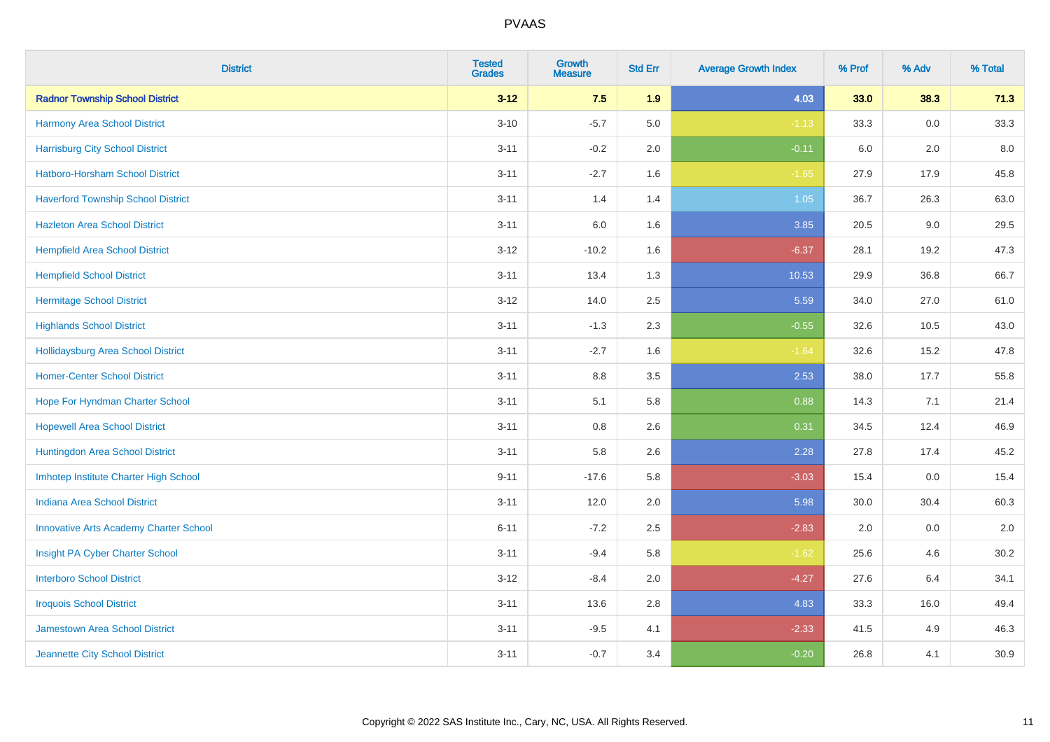| <b>District</b>                               | <b>Tested</b><br><b>Grades</b> | <b>Growth</b><br><b>Measure</b> | <b>Std Err</b> | <b>Average Growth Index</b> | % Prof | % Adv   | % Total |
|-----------------------------------------------|--------------------------------|---------------------------------|----------------|-----------------------------|--------|---------|---------|
| <b>Radnor Township School District</b>        | $3 - 12$                       | 7.5                             | 1.9            | 4.03                        | 33.0   | 38.3    | 71.3    |
| Harmony Area School District                  | $3 - 10$                       | $-5.7$                          | 5.0            | $-1.13$                     | 33.3   | 0.0     | 33.3    |
| <b>Harrisburg City School District</b>        | $3 - 11$                       | $-0.2$                          | 2.0            | $-0.11$                     | 6.0    | 2.0     | 8.0     |
| Hatboro-Horsham School District               | $3 - 11$                       | $-2.7$                          | 1.6            | $-1.65$                     | 27.9   | 17.9    | 45.8    |
| <b>Haverford Township School District</b>     | $3 - 11$                       | 1.4                             | 1.4            | 1.05                        | 36.7   | 26.3    | 63.0    |
| <b>Hazleton Area School District</b>          | $3 - 11$                       | 6.0                             | 1.6            | 3.85                        | 20.5   | 9.0     | 29.5    |
| <b>Hempfield Area School District</b>         | $3 - 12$                       | $-10.2$                         | 1.6            | $-6.37$                     | 28.1   | 19.2    | 47.3    |
| <b>Hempfield School District</b>              | $3 - 11$                       | 13.4                            | 1.3            | 10.53                       | 29.9   | 36.8    | 66.7    |
| <b>Hermitage School District</b>              | $3 - 12$                       | 14.0                            | 2.5            | 5.59                        | 34.0   | 27.0    | 61.0    |
| <b>Highlands School District</b>              | $3 - 11$                       | $-1.3$                          | 2.3            | $-0.55$                     | 32.6   | 10.5    | 43.0    |
| <b>Hollidaysburg Area School District</b>     | $3 - 11$                       | $-2.7$                          | 1.6            | $-1.64$                     | 32.6   | 15.2    | 47.8    |
| <b>Homer-Center School District</b>           | $3 - 11$                       | 8.8                             | 3.5            | 2.53                        | 38.0   | 17.7    | 55.8    |
| Hope For Hyndman Charter School               | $3 - 11$                       | 5.1                             | 5.8            | 0.88                        | 14.3   | 7.1     | 21.4    |
| <b>Hopewell Area School District</b>          | $3 - 11$                       | 0.8                             | 2.6            | 0.31                        | 34.5   | 12.4    | 46.9    |
| Huntingdon Area School District               | $3 - 11$                       | 5.8                             | 2.6            | 2.28                        | 27.8   | 17.4    | 45.2    |
| Imhotep Institute Charter High School         | $9 - 11$                       | $-17.6$                         | 5.8            | $-3.03$                     | 15.4   | $0.0\,$ | 15.4    |
| <b>Indiana Area School District</b>           | $3 - 11$                       | 12.0                            | 2.0            | 5.98                        | 30.0   | 30.4    | 60.3    |
| <b>Innovative Arts Academy Charter School</b> | $6 - 11$                       | $-7.2$                          | 2.5            | $-2.83$                     | 2.0    | 0.0     | 2.0     |
| Insight PA Cyber Charter School               | $3 - 11$                       | $-9.4$                          | 5.8            | $-1.62$                     | 25.6   | 4.6     | 30.2    |
| <b>Interboro School District</b>              | $3 - 12$                       | $-8.4$                          | 2.0            | $-4.27$                     | 27.6   | 6.4     | 34.1    |
| <b>Iroquois School District</b>               | $3 - 11$                       | 13.6                            | 2.8            | 4.83                        | 33.3   | 16.0    | 49.4    |
| Jamestown Area School District                | $3 - 11$                       | $-9.5$                          | 4.1            | $-2.33$                     | 41.5   | 4.9     | 46.3    |
| Jeannette City School District                | $3 - 11$                       | $-0.7$                          | 3.4            | $-0.20$                     | 26.8   | 4.1     | 30.9    |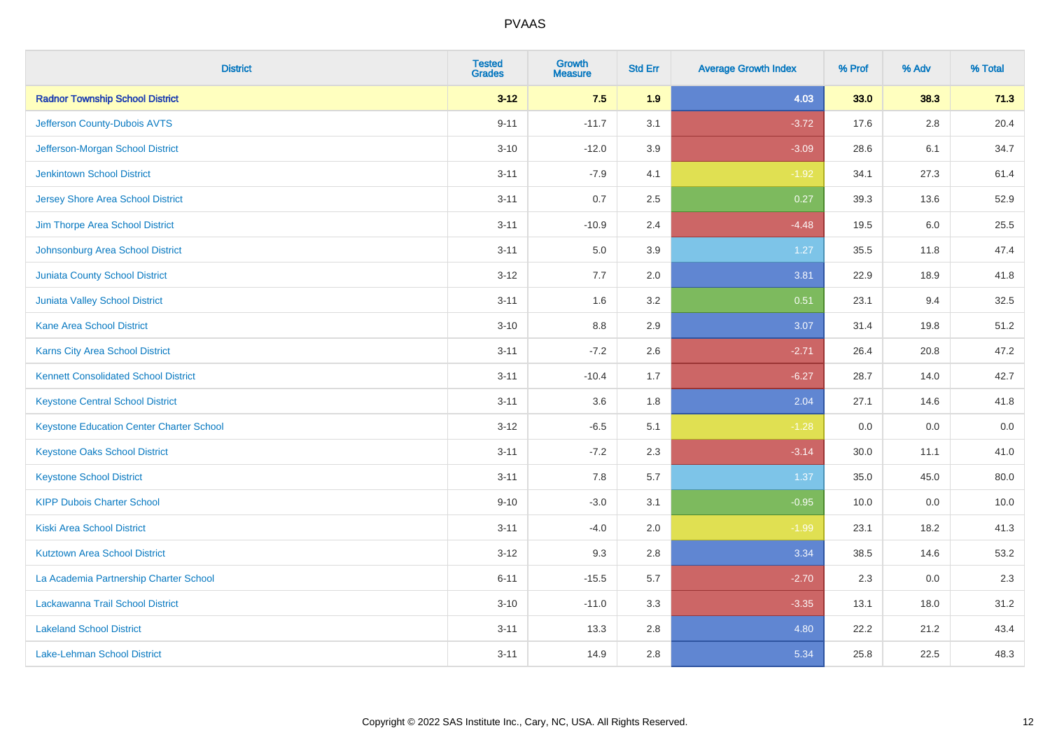| <b>District</b>                                 | <b>Tested</b><br><b>Grades</b> | <b>Growth</b><br><b>Measure</b> | <b>Std Err</b> | <b>Average Growth Index</b> | % Prof | % Adv   | % Total |
|-------------------------------------------------|--------------------------------|---------------------------------|----------------|-----------------------------|--------|---------|---------|
| <b>Radnor Township School District</b>          | $3 - 12$                       | 7.5                             | 1.9            | 4.03                        | 33.0   | 38.3    | 71.3    |
| Jefferson County-Dubois AVTS                    | $9 - 11$                       | $-11.7$                         | 3.1            | $-3.72$                     | 17.6   | $2.8\,$ | 20.4    |
| Jefferson-Morgan School District                | $3 - 10$                       | $-12.0$                         | 3.9            | $-3.09$                     | 28.6   | 6.1     | 34.7    |
| <b>Jenkintown School District</b>               | $3 - 11$                       | $-7.9$                          | 4.1            | $-1.92$                     | 34.1   | 27.3    | 61.4    |
| <b>Jersey Shore Area School District</b>        | $3 - 11$                       | 0.7                             | 2.5            | 0.27                        | 39.3   | 13.6    | 52.9    |
| Jim Thorpe Area School District                 | $3 - 11$                       | $-10.9$                         | 2.4            | $-4.48$                     | 19.5   | 6.0     | 25.5    |
| Johnsonburg Area School District                | $3 - 11$                       | 5.0                             | 3.9            | 1.27                        | 35.5   | 11.8    | 47.4    |
| <b>Juniata County School District</b>           | $3 - 12$                       | 7.7                             | 2.0            | 3.81                        | 22.9   | 18.9    | 41.8    |
| <b>Juniata Valley School District</b>           | $3 - 11$                       | 1.6                             | 3.2            | 0.51                        | 23.1   | 9.4     | 32.5    |
| <b>Kane Area School District</b>                | $3 - 10$                       | 8.8                             | 2.9            | 3.07                        | 31.4   | 19.8    | 51.2    |
| Karns City Area School District                 | $3 - 11$                       | $-7.2$                          | 2.6            | $-2.71$                     | 26.4   | 20.8    | 47.2    |
| <b>Kennett Consolidated School District</b>     | $3 - 11$                       | $-10.4$                         | 1.7            | $-6.27$                     | 28.7   | 14.0    | 42.7    |
| <b>Keystone Central School District</b>         | $3 - 11$                       | 3.6                             | 1.8            | 2.04                        | 27.1   | 14.6    | 41.8    |
| <b>Keystone Education Center Charter School</b> | $3 - 12$                       | $-6.5$                          | 5.1            | $-1.28$                     | 0.0    | 0.0     | $0.0\,$ |
| <b>Keystone Oaks School District</b>            | $3 - 11$                       | $-7.2$                          | 2.3            | $-3.14$                     | 30.0   | 11.1    | 41.0    |
| <b>Keystone School District</b>                 | $3 - 11$                       | 7.8                             | 5.7            | 1.37                        | 35.0   | 45.0    | 80.0    |
| <b>KIPP Dubois Charter School</b>               | $9 - 10$                       | $-3.0$                          | 3.1            | $-0.95$                     | 10.0   | 0.0     | 10.0    |
| <b>Kiski Area School District</b>               | $3 - 11$                       | $-4.0$                          | 2.0            | $-1.99$                     | 23.1   | 18.2    | 41.3    |
| <b>Kutztown Area School District</b>            | $3 - 12$                       | 9.3                             | 2.8            | 3.34                        | 38.5   | 14.6    | 53.2    |
| La Academia Partnership Charter School          | $6 - 11$                       | $-15.5$                         | 5.7            | $-2.70$                     | 2.3    | 0.0     | 2.3     |
| <b>Lackawanna Trail School District</b>         | $3 - 10$                       | $-11.0$                         | 3.3            | $-3.35$                     | 13.1   | 18.0    | 31.2    |
| <b>Lakeland School District</b>                 | $3 - 11$                       | 13.3                            | 2.8            | 4.80                        | 22.2   | 21.2    | 43.4    |
| Lake-Lehman School District                     | $3 - 11$                       | 14.9                            | 2.8            | 5.34                        | 25.8   | 22.5    | 48.3    |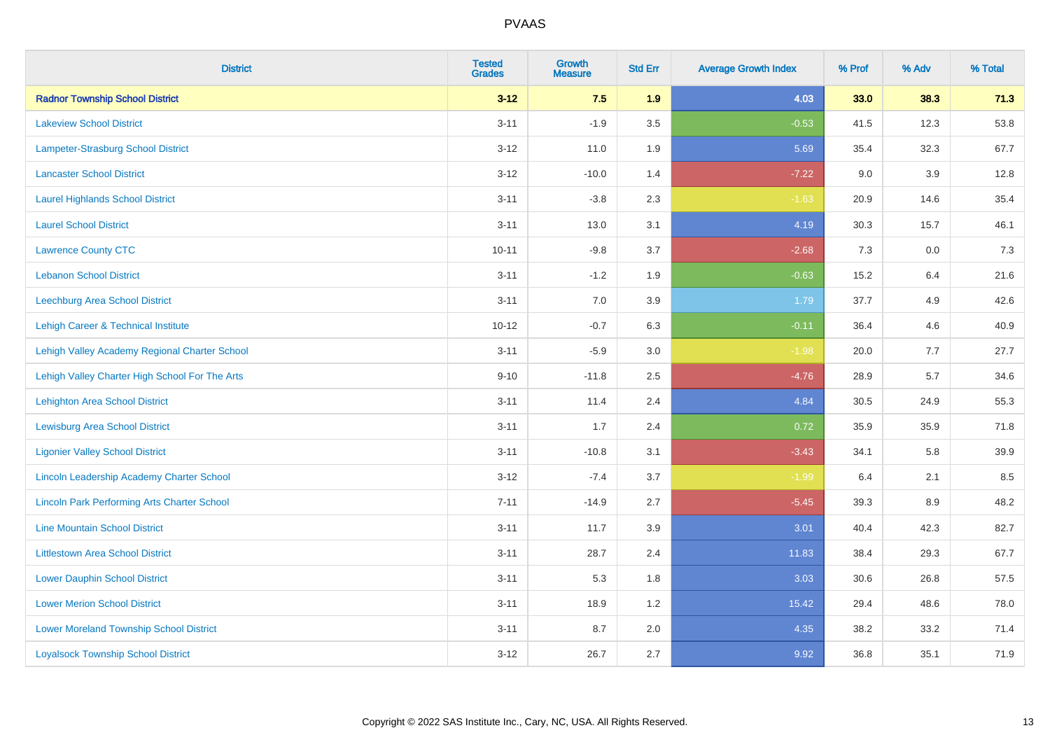| <b>District</b>                                    | <b>Tested</b><br><b>Grades</b> | <b>Growth</b><br><b>Measure</b> | <b>Std Err</b> | <b>Average Growth Index</b> | % Prof | % Adv   | % Total |
|----------------------------------------------------|--------------------------------|---------------------------------|----------------|-----------------------------|--------|---------|---------|
| <b>Radnor Township School District</b>             | $3 - 12$                       | 7.5                             | 1.9            | 4.03                        | 33.0   | 38.3    | 71.3    |
| <b>Lakeview School District</b>                    | $3 - 11$                       | $-1.9$                          | 3.5            | $-0.53$                     | 41.5   | 12.3    | 53.8    |
| Lampeter-Strasburg School District                 | $3 - 12$                       | 11.0                            | 1.9            | 5.69                        | 35.4   | 32.3    | 67.7    |
| <b>Lancaster School District</b>                   | $3 - 12$                       | $-10.0$                         | 1.4            | $-7.22$                     | 9.0    | 3.9     | 12.8    |
| <b>Laurel Highlands School District</b>            | $3 - 11$                       | $-3.8$                          | 2.3            | $-1.63$                     | 20.9   | 14.6    | 35.4    |
| <b>Laurel School District</b>                      | $3 - 11$                       | 13.0                            | 3.1            | 4.19                        | 30.3   | 15.7    | 46.1    |
| <b>Lawrence County CTC</b>                         | $10 - 11$                      | $-9.8$                          | 3.7            | $-2.68$                     | 7.3    | $0.0\,$ | 7.3     |
| <b>Lebanon School District</b>                     | $3 - 11$                       | $-1.2$                          | 1.9            | $-0.63$                     | 15.2   | 6.4     | 21.6    |
| Leechburg Area School District                     | $3 - 11$                       | 7.0                             | 3.9            | 1.79                        | 37.7   | 4.9     | 42.6    |
| Lehigh Career & Technical Institute                | $10 - 12$                      | $-0.7$                          | 6.3            | $-0.11$                     | 36.4   | 4.6     | 40.9    |
| Lehigh Valley Academy Regional Charter School      | $3 - 11$                       | $-5.9$                          | 3.0            | $-1.98$                     | 20.0   | 7.7     | 27.7    |
| Lehigh Valley Charter High School For The Arts     | $9 - 10$                       | $-11.8$                         | 2.5            | $-4.76$                     | 28.9   | 5.7     | 34.6    |
| <b>Lehighton Area School District</b>              | $3 - 11$                       | 11.4                            | 2.4            | 4.84                        | 30.5   | 24.9    | 55.3    |
| <b>Lewisburg Area School District</b>              | $3 - 11$                       | 1.7                             | 2.4            | 0.72                        | 35.9   | 35.9    | 71.8    |
| <b>Ligonier Valley School District</b>             | $3 - 11$                       | $-10.8$                         | 3.1            | $-3.43$                     | 34.1   | 5.8     | 39.9    |
| Lincoln Leadership Academy Charter School          | $3 - 12$                       | $-7.4$                          | 3.7            | $-1.99$                     | 6.4    | 2.1     | 8.5     |
| <b>Lincoln Park Performing Arts Charter School</b> | $7 - 11$                       | $-14.9$                         | 2.7            | $-5.45$                     | 39.3   | $8.9\,$ | 48.2    |
| <b>Line Mountain School District</b>               | $3 - 11$                       | 11.7                            | 3.9            | 3.01                        | 40.4   | 42.3    | 82.7    |
| <b>Littlestown Area School District</b>            | $3 - 11$                       | 28.7                            | 2.4            | 11.83                       | 38.4   | 29.3    | 67.7    |
| <b>Lower Dauphin School District</b>               | $3 - 11$                       | 5.3                             | 1.8            | 3.03                        | 30.6   | 26.8    | 57.5    |
| <b>Lower Merion School District</b>                | $3 - 11$                       | 18.9                            | 1.2            | 15.42                       | 29.4   | 48.6    | 78.0    |
| <b>Lower Moreland Township School District</b>     | $3 - 11$                       | 8.7                             | 2.0            | 4.35                        | 38.2   | 33.2    | 71.4    |
| <b>Loyalsock Township School District</b>          | $3 - 12$                       | 26.7                            | 2.7            | 9.92                        | 36.8   | 35.1    | 71.9    |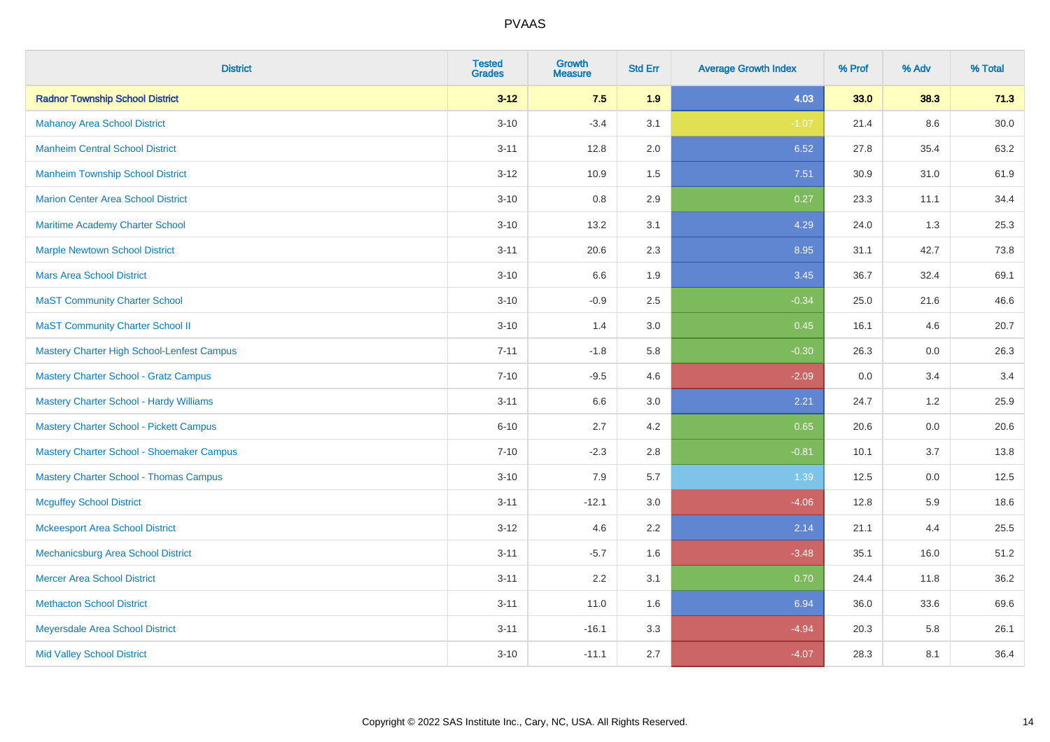| <b>District</b>                                | <b>Tested</b><br><b>Grades</b> | Growth<br><b>Measure</b> | <b>Std Err</b> | <b>Average Growth Index</b> | % Prof | % Adv | % Total |
|------------------------------------------------|--------------------------------|--------------------------|----------------|-----------------------------|--------|-------|---------|
| <b>Radnor Township School District</b>         | $3 - 12$                       | 7.5                      | 1.9            | 4.03                        | 33.0   | 38.3  | 71.3    |
| <b>Mahanoy Area School District</b>            | $3 - 10$                       | $-3.4$                   | 3.1            | $-1.07$                     | 21.4   | 8.6   | 30.0    |
| <b>Manheim Central School District</b>         | $3 - 11$                       | 12.8                     | 2.0            | 6.52                        | 27.8   | 35.4  | 63.2    |
| <b>Manheim Township School District</b>        | $3 - 12$                       | 10.9                     | 1.5            | 7.51                        | 30.9   | 31.0  | 61.9    |
| <b>Marion Center Area School District</b>      | $3 - 10$                       | 0.8                      | 2.9            | 0.27                        | 23.3   | 11.1  | 34.4    |
| Maritime Academy Charter School                | $3 - 10$                       | 13.2                     | 3.1            | 4.29                        | 24.0   | 1.3   | 25.3    |
| <b>Marple Newtown School District</b>          | $3 - 11$                       | 20.6                     | 2.3            | 8.95                        | 31.1   | 42.7  | 73.8    |
| <b>Mars Area School District</b>               | $3 - 10$                       | 6.6                      | 1.9            | 3.45                        | 36.7   | 32.4  | 69.1    |
| <b>MaST Community Charter School</b>           | $3 - 10$                       | $-0.9$                   | 2.5            | $-0.34$                     | 25.0   | 21.6  | 46.6    |
| <b>MaST Community Charter School II</b>        | $3 - 10$                       | 1.4                      | 3.0            | 0.45                        | 16.1   | 4.6   | 20.7    |
| Mastery Charter High School-Lenfest Campus     | $7 - 11$                       | $-1.8$                   | 5.8            | $-0.30$                     | 26.3   | 0.0   | 26.3    |
| <b>Mastery Charter School - Gratz Campus</b>   | $7 - 10$                       | $-9.5$                   | 4.6            | $-2.09$                     | 0.0    | 3.4   | 3.4     |
| <b>Mastery Charter School - Hardy Williams</b> | $3 - 11$                       | 6.6                      | 3.0            | 2.21                        | 24.7   | 1.2   | 25.9    |
| <b>Mastery Charter School - Pickett Campus</b> | $6 - 10$                       | 2.7                      | 4.2            | 0.65                        | 20.6   | 0.0   | 20.6    |
| Mastery Charter School - Shoemaker Campus      | $7 - 10$                       | $-2.3$                   | 2.8            | $-0.81$                     | 10.1   | 3.7   | 13.8    |
| <b>Mastery Charter School - Thomas Campus</b>  | $3 - 10$                       | 7.9                      | 5.7            | 1.39                        | 12.5   | 0.0   | 12.5    |
| <b>Mcguffey School District</b>                | $3 - 11$                       | $-12.1$                  | 3.0            | $-4.06$                     | 12.8   | 5.9   | 18.6    |
| <b>Mckeesport Area School District</b>         | $3 - 12$                       | 4.6                      | 2.2            | 2.14                        | 21.1   | 4.4   | 25.5    |
| Mechanicsburg Area School District             | $3 - 11$                       | $-5.7$                   | 1.6            | $-3.48$                     | 35.1   | 16.0  | 51.2    |
| <b>Mercer Area School District</b>             | $3 - 11$                       | 2.2                      | 3.1            | 0.70                        | 24.4   | 11.8  | 36.2    |
| <b>Methacton School District</b>               | $3 - 11$                       | 11.0                     | 1.6            | 6.94                        | 36.0   | 33.6  | 69.6    |
| Meyersdale Area School District                | $3 - 11$                       | $-16.1$                  | 3.3            | $-4.94$                     | 20.3   | 5.8   | 26.1    |
| <b>Mid Valley School District</b>              | $3 - 10$                       | $-11.1$                  | 2.7            | $-4.07$                     | 28.3   | 8.1   | 36.4    |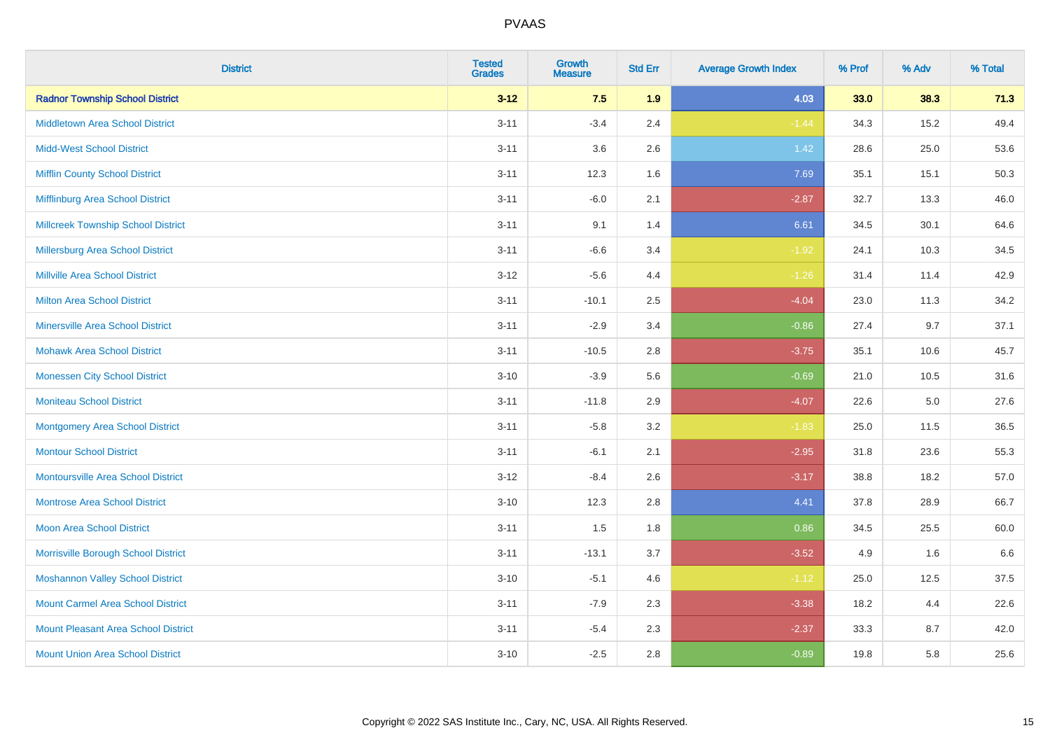| <b>District</b>                            | <b>Tested</b><br><b>Grades</b> | <b>Growth</b><br><b>Measure</b> | <b>Std Err</b> | <b>Average Growth Index</b> | % Prof | % Adv   | % Total |
|--------------------------------------------|--------------------------------|---------------------------------|----------------|-----------------------------|--------|---------|---------|
| <b>Radnor Township School District</b>     | $3 - 12$                       | 7.5                             | 1.9            | 4.03                        | 33.0   | 38.3    | 71.3    |
| <b>Middletown Area School District</b>     | $3 - 11$                       | $-3.4$                          | 2.4            | $-1.44$                     | 34.3   | 15.2    | 49.4    |
| <b>Midd-West School District</b>           | $3 - 11$                       | 3.6                             | 2.6            | 1.42                        | 28.6   | 25.0    | 53.6    |
| <b>Mifflin County School District</b>      | $3 - 11$                       | 12.3                            | 1.6            | 7.69                        | 35.1   | 15.1    | 50.3    |
| Mifflinburg Area School District           | $3 - 11$                       | $-6.0$                          | 2.1            | $-2.87$                     | 32.7   | 13.3    | 46.0    |
| <b>Millcreek Township School District</b>  | $3 - 11$                       | 9.1                             | 1.4            | 6.61                        | 34.5   | 30.1    | 64.6    |
| Millersburg Area School District           | $3 - 11$                       | $-6.6$                          | 3.4            | $-1.92$                     | 24.1   | 10.3    | 34.5    |
| <b>Millville Area School District</b>      | $3 - 12$                       | $-5.6$                          | 4.4            | $-1.26$                     | 31.4   | 11.4    | 42.9    |
| <b>Milton Area School District</b>         | $3 - 11$                       | $-10.1$                         | 2.5            | $-4.04$                     | 23.0   | 11.3    | 34.2    |
| <b>Minersville Area School District</b>    | $3 - 11$                       | $-2.9$                          | 3.4            | $-0.86$                     | 27.4   | 9.7     | 37.1    |
| <b>Mohawk Area School District</b>         | $3 - 11$                       | $-10.5$                         | 2.8            | $-3.75$                     | 35.1   | 10.6    | 45.7    |
| <b>Monessen City School District</b>       | $3 - 10$                       | $-3.9$                          | 5.6            | $-0.69$                     | 21.0   | 10.5    | 31.6    |
| <b>Moniteau School District</b>            | $3 - 11$                       | $-11.8$                         | 2.9            | $-4.07$                     | 22.6   | $5.0\,$ | 27.6    |
| <b>Montgomery Area School District</b>     | $3 - 11$                       | $-5.8$                          | 3.2            | $-1.83$                     | 25.0   | 11.5    | 36.5    |
| <b>Montour School District</b>             | $3 - 11$                       | $-6.1$                          | 2.1            | $-2.95$                     | 31.8   | 23.6    | 55.3    |
| <b>Montoursville Area School District</b>  | $3 - 12$                       | $-8.4$                          | 2.6            | $-3.17$                     | 38.8   | 18.2    | 57.0    |
| <b>Montrose Area School District</b>       | $3 - 10$                       | 12.3                            | 2.8            | 4.41                        | 37.8   | 28.9    | 66.7    |
| <b>Moon Area School District</b>           | $3 - 11$                       | 1.5                             | 1.8            | 0.86                        | 34.5   | 25.5    | 60.0    |
| Morrisville Borough School District        | $3 - 11$                       | $-13.1$                         | 3.7            | $-3.52$                     | 4.9    | 1.6     | 6.6     |
| <b>Moshannon Valley School District</b>    | $3 - 10$                       | $-5.1$                          | 4.6            | $-1.12$                     | 25.0   | 12.5    | 37.5    |
| <b>Mount Carmel Area School District</b>   | $3 - 11$                       | $-7.9$                          | 2.3            | $-3.38$                     | 18.2   | 4.4     | 22.6    |
| <b>Mount Pleasant Area School District</b> | $3 - 11$                       | $-5.4$                          | 2.3            | $-2.37$                     | 33.3   | 8.7     | 42.0    |
| <b>Mount Union Area School District</b>    | $3 - 10$                       | $-2.5$                          | 2.8            | $-0.89$                     | 19.8   | 5.8     | 25.6    |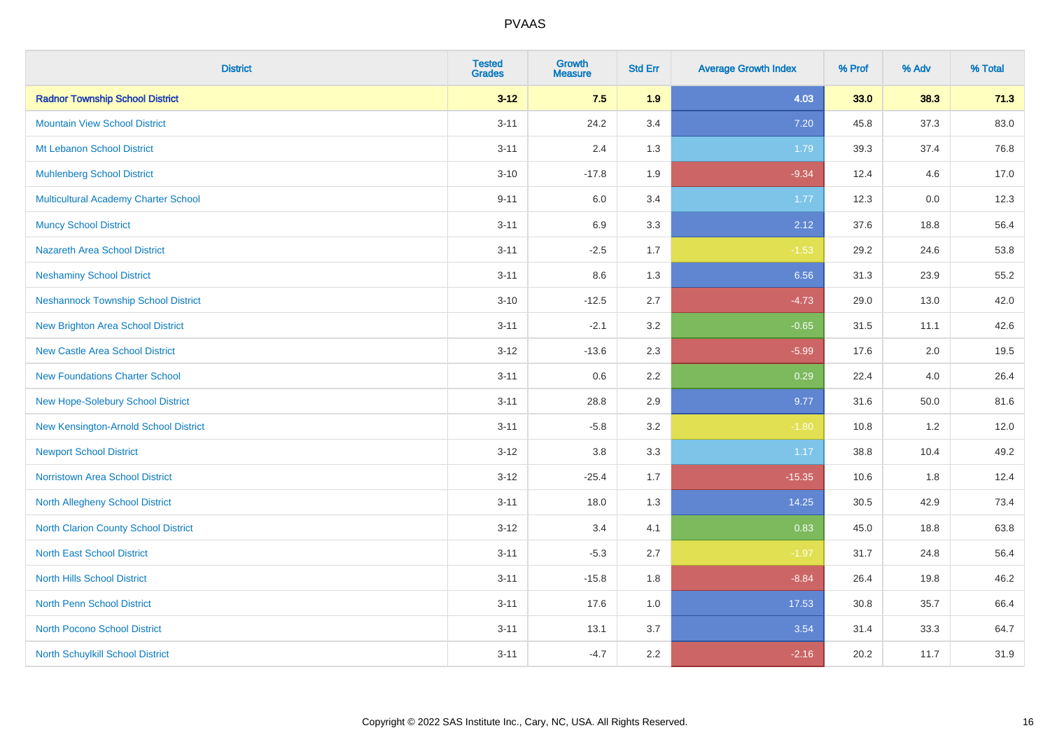| <b>District</b>                             | <b>Tested</b><br><b>Grades</b> | <b>Growth</b><br><b>Measure</b> | <b>Std Err</b> | <b>Average Growth Index</b> | % Prof | % Adv | % Total |
|---------------------------------------------|--------------------------------|---------------------------------|----------------|-----------------------------|--------|-------|---------|
| <b>Radnor Township School District</b>      | $3 - 12$                       | 7.5                             | 1.9            | 4.03                        | 33.0   | 38.3  | 71.3    |
| <b>Mountain View School District</b>        | $3 - 11$                       | 24.2                            | 3.4            | 7.20                        | 45.8   | 37.3  | 83.0    |
| Mt Lebanon School District                  | $3 - 11$                       | 2.4                             | 1.3            | 1.79                        | 39.3   | 37.4  | 76.8    |
| <b>Muhlenberg School District</b>           | $3 - 10$                       | $-17.8$                         | 1.9            | $-9.34$                     | 12.4   | 4.6   | 17.0    |
| <b>Multicultural Academy Charter School</b> | $9 - 11$                       | 6.0                             | 3.4            | 1.77                        | 12.3   | 0.0   | 12.3    |
| <b>Muncy School District</b>                | $3 - 11$                       | 6.9                             | 3.3            | 2.12                        | 37.6   | 18.8  | 56.4    |
| <b>Nazareth Area School District</b>        | $3 - 11$                       | $-2.5$                          | 1.7            | $-1.53$                     | 29.2   | 24.6  | 53.8    |
| <b>Neshaminy School District</b>            | $3 - 11$                       | $8.6\,$                         | 1.3            | 6.56                        | 31.3   | 23.9  | 55.2    |
| <b>Neshannock Township School District</b>  | $3 - 10$                       | $-12.5$                         | 2.7            | $-4.73$                     | 29.0   | 13.0  | 42.0    |
| <b>New Brighton Area School District</b>    | $3 - 11$                       | $-2.1$                          | 3.2            | $-0.65$                     | 31.5   | 11.1  | 42.6    |
| <b>New Castle Area School District</b>      | $3 - 12$                       | $-13.6$                         | 2.3            | $-5.99$                     | 17.6   | 2.0   | 19.5    |
| <b>New Foundations Charter School</b>       | $3 - 11$                       | $0.6\,$                         | 2.2            | 0.29                        | 22.4   | 4.0   | 26.4    |
| New Hope-Solebury School District           | $3 - 11$                       | 28.8                            | 2.9            | 9.77                        | 31.6   | 50.0  | 81.6    |
| New Kensington-Arnold School District       | $3 - 11$                       | $-5.8$                          | 3.2            | $-1.80$                     | 10.8   | 1.2   | 12.0    |
| <b>Newport School District</b>              | $3 - 12$                       | $3.8\,$                         | 3.3            | 1.17                        | 38.8   | 10.4  | 49.2    |
| <b>Norristown Area School District</b>      | $3 - 12$                       | $-25.4$                         | 1.7            | $-15.35$                    | 10.6   | 1.8   | 12.4    |
| <b>North Allegheny School District</b>      | $3 - 11$                       | 18.0                            | 1.3            | 14.25                       | 30.5   | 42.9  | 73.4    |
| <b>North Clarion County School District</b> | $3 - 12$                       | 3.4                             | 4.1            | 0.83                        | 45.0   | 18.8  | 63.8    |
| <b>North East School District</b>           | $3 - 11$                       | $-5.3$                          | 2.7            | $-1.97$                     | 31.7   | 24.8  | 56.4    |
| <b>North Hills School District</b>          | $3 - 11$                       | $-15.8$                         | 1.8            | $-8.84$                     | 26.4   | 19.8  | 46.2    |
| <b>North Penn School District</b>           | $3 - 11$                       | 17.6                            | 1.0            | 17.53                       | 30.8   | 35.7  | 66.4    |
| <b>North Pocono School District</b>         | $3 - 11$                       | 13.1                            | 3.7            | 3.54                        | 31.4   | 33.3  | 64.7    |
| North Schuylkill School District            | $3 - 11$                       | $-4.7$                          | 2.2            | $-2.16$                     | 20.2   | 11.7  | 31.9    |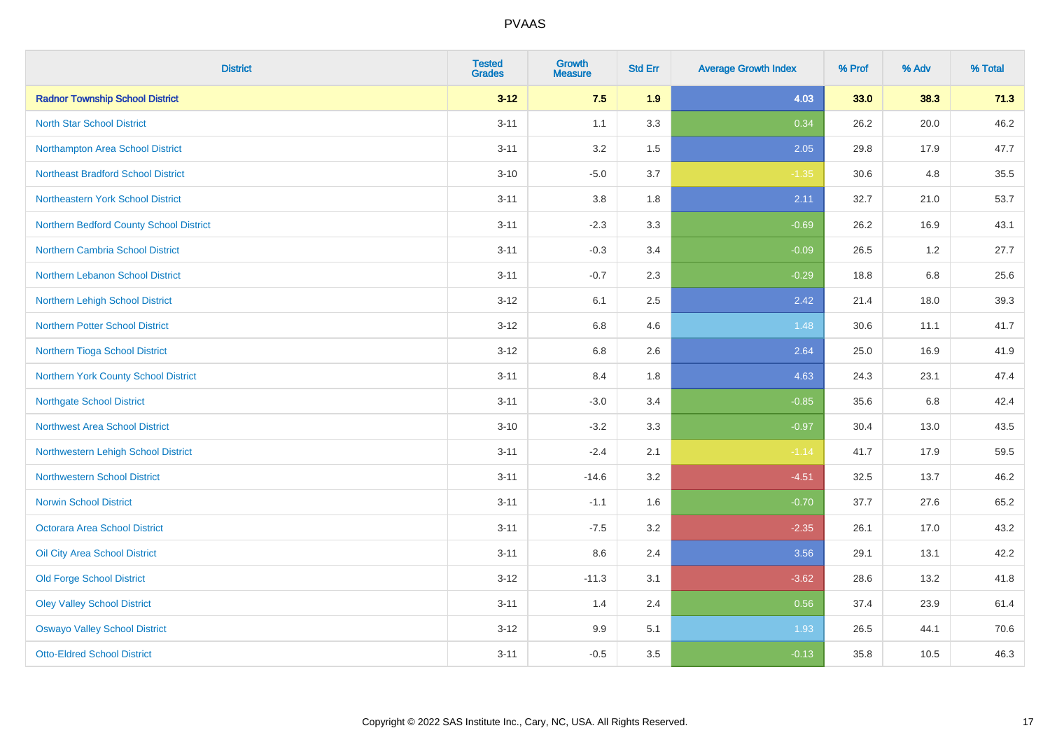| <b>District</b>                           | <b>Tested</b><br><b>Grades</b> | <b>Growth</b><br><b>Measure</b> | <b>Std Err</b> | <b>Average Growth Index</b> | % Prof | % Adv   | % Total |
|-------------------------------------------|--------------------------------|---------------------------------|----------------|-----------------------------|--------|---------|---------|
| <b>Radnor Township School District</b>    | $3 - 12$                       | 7.5                             | 1.9            | 4.03                        | 33.0   | 38.3    | 71.3    |
| <b>North Star School District</b>         | $3 - 11$                       | 1.1                             | 3.3            | 0.34                        | 26.2   | 20.0    | 46.2    |
| Northampton Area School District          | $3 - 11$                       | 3.2                             | 1.5            | 2.05                        | 29.8   | 17.9    | 47.7    |
| <b>Northeast Bradford School District</b> | $3 - 10$                       | $-5.0$                          | 3.7            | $-1.35$                     | 30.6   | 4.8     | 35.5    |
| Northeastern York School District         | $3 - 11$                       | 3.8                             | 1.8            | 2.11                        | 32.7   | 21.0    | 53.7    |
| Northern Bedford County School District   | $3 - 11$                       | $-2.3$                          | 3.3            | $-0.69$                     | 26.2   | 16.9    | 43.1    |
| Northern Cambria School District          | $3 - 11$                       | $-0.3$                          | 3.4            | $-0.09$                     | 26.5   | 1.2     | 27.7    |
| Northern Lebanon School District          | $3 - 11$                       | $-0.7$                          | 2.3            | $-0.29$                     | 18.8   | 6.8     | 25.6    |
| Northern Lehigh School District           | $3 - 12$                       | 6.1                             | 2.5            | 2.42                        | 21.4   | 18.0    | 39.3    |
| Northern Potter School District           | $3 - 12$                       | 6.8                             | 4.6            | 1.48                        | 30.6   | 11.1    | 41.7    |
| Northern Tioga School District            | $3 - 12$                       | 6.8                             | 2.6            | 2.64                        | 25.0   | 16.9    | 41.9    |
| Northern York County School District      | $3 - 11$                       | 8.4                             | 1.8            | 4.63                        | 24.3   | 23.1    | 47.4    |
| <b>Northgate School District</b>          | $3 - 11$                       | $-3.0$                          | 3.4            | $-0.85$                     | 35.6   | $6.8\,$ | 42.4    |
| Northwest Area School District            | $3 - 10$                       | $-3.2$                          | 3.3            | $-0.97$                     | 30.4   | 13.0    | 43.5    |
| Northwestern Lehigh School District       | $3 - 11$                       | $-2.4$                          | 2.1            | $-1.14$                     | 41.7   | 17.9    | 59.5    |
| <b>Northwestern School District</b>       | $3 - 11$                       | $-14.6$                         | 3.2            | $-4.51$                     | 32.5   | 13.7    | 46.2    |
| <b>Norwin School District</b>             | $3 - 11$                       | $-1.1$                          | 1.6            | $-0.70$                     | 37.7   | 27.6    | 65.2    |
| <b>Octorara Area School District</b>      | $3 - 11$                       | $-7.5$                          | 3.2            | $-2.35$                     | 26.1   | 17.0    | 43.2    |
| Oil City Area School District             | $3 - 11$                       | 8.6                             | 2.4            | 3.56                        | 29.1   | 13.1    | 42.2    |
| <b>Old Forge School District</b>          | $3 - 12$                       | $-11.3$                         | 3.1            | $-3.62$                     | 28.6   | 13.2    | 41.8    |
| <b>Oley Valley School District</b>        | $3 - 11$                       | 1.4                             | 2.4            | 0.56                        | 37.4   | 23.9    | 61.4    |
| <b>Oswayo Valley School District</b>      | $3 - 12$                       | 9.9                             | 5.1            | 1.93                        | 26.5   | 44.1    | 70.6    |
| <b>Otto-Eldred School District</b>        | $3 - 11$                       | $-0.5$                          | 3.5            | $-0.13$                     | 35.8   | 10.5    | 46.3    |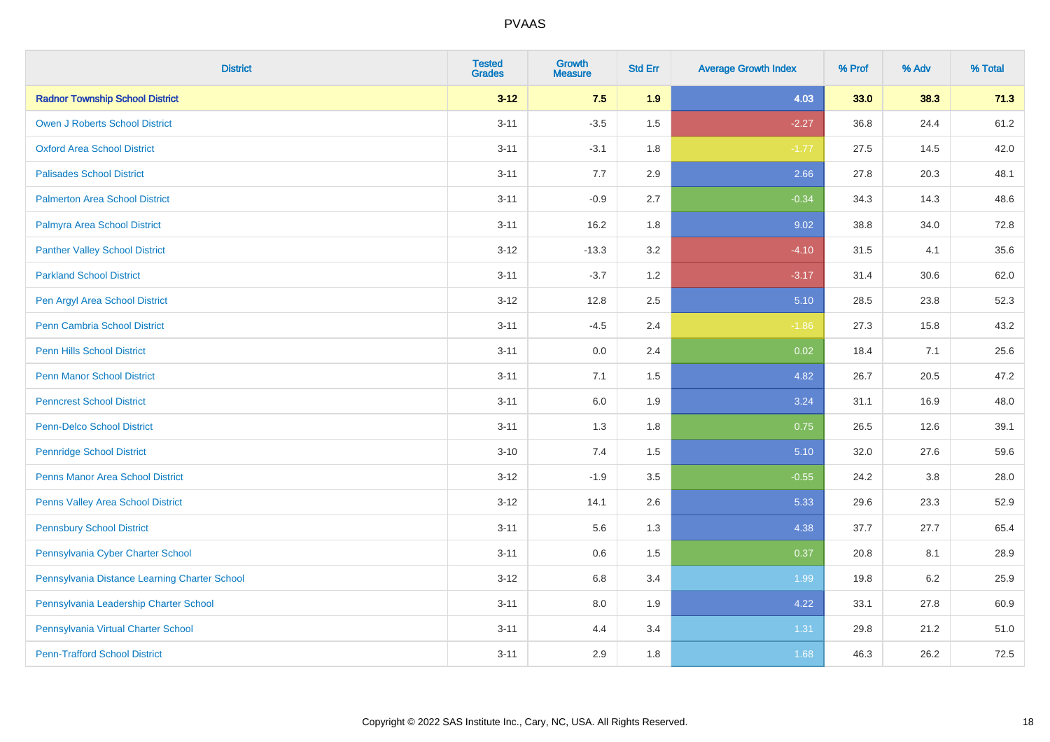| <b>District</b>                               | <b>Tested</b><br><b>Grades</b> | <b>Growth</b><br><b>Measure</b> | <b>Std Err</b> | <b>Average Growth Index</b> | % Prof | % Adv   | % Total |
|-----------------------------------------------|--------------------------------|---------------------------------|----------------|-----------------------------|--------|---------|---------|
| <b>Radnor Township School District</b>        | $3 - 12$                       | 7.5                             | 1.9            | 4.03                        | 33.0   | 38.3    | 71.3    |
| <b>Owen J Roberts School District</b>         | $3 - 11$                       | $-3.5$                          | 1.5            | $-2.27$                     | 36.8   | 24.4    | 61.2    |
| <b>Oxford Area School District</b>            | $3 - 11$                       | $-3.1$                          | 1.8            | $-1.77$                     | 27.5   | 14.5    | 42.0    |
| <b>Palisades School District</b>              | $3 - 11$                       | 7.7                             | 2.9            | 2.66                        | 27.8   | 20.3    | 48.1    |
| <b>Palmerton Area School District</b>         | $3 - 11$                       | $-0.9$                          | 2.7            | $-0.34$                     | 34.3   | 14.3    | 48.6    |
| Palmyra Area School District                  | $3 - 11$                       | 16.2                            | 1.8            | 9.02                        | 38.8   | 34.0    | 72.8    |
| <b>Panther Valley School District</b>         | $3 - 12$                       | $-13.3$                         | 3.2            | $-4.10$                     | 31.5   | 4.1     | 35.6    |
| <b>Parkland School District</b>               | $3 - 11$                       | $-3.7$                          | 1.2            | $-3.17$                     | 31.4   | 30.6    | 62.0    |
| Pen Argyl Area School District                | $3 - 12$                       | 12.8                            | 2.5            | 5.10                        | 28.5   | 23.8    | 52.3    |
| Penn Cambria School District                  | $3 - 11$                       | $-4.5$                          | 2.4            | $-1.86$                     | 27.3   | 15.8    | 43.2    |
| <b>Penn Hills School District</b>             | $3 - 11$                       | 0.0                             | 2.4            | 0.02                        | 18.4   | 7.1     | 25.6    |
| <b>Penn Manor School District</b>             | $3 - 11$                       | 7.1                             | 1.5            | 4.82                        | 26.7   | 20.5    | 47.2    |
| <b>Penncrest School District</b>              | $3 - 11$                       | 6.0                             | 1.9            | 3.24                        | 31.1   | 16.9    | 48.0    |
| <b>Penn-Delco School District</b>             | $3 - 11$                       | 1.3                             | 1.8            | 0.75                        | 26.5   | 12.6    | 39.1    |
| <b>Pennridge School District</b>              | $3 - 10$                       | 7.4                             | 1.5            | 5.10                        | 32.0   | 27.6    | 59.6    |
| <b>Penns Manor Area School District</b>       | $3 - 12$                       | $-1.9$                          | $3.5\,$        | $-0.55$                     | 24.2   | $3.8\,$ | 28.0    |
| Penns Valley Area School District             | $3 - 12$                       | 14.1                            | 2.6            | 5.33                        | 29.6   | 23.3    | 52.9    |
| <b>Pennsbury School District</b>              | $3 - 11$                       | 5.6                             | 1.3            | 4.38                        | 37.7   | 27.7    | 65.4    |
| Pennsylvania Cyber Charter School             | $3 - 11$                       | 0.6                             | 1.5            | 0.37                        | 20.8   | 8.1     | 28.9    |
| Pennsylvania Distance Learning Charter School | $3 - 12$                       | 6.8                             | 3.4            | 1.99                        | 19.8   | 6.2     | 25.9    |
| Pennsylvania Leadership Charter School        | $3 - 11$                       | 8.0                             | 1.9            | 4.22                        | 33.1   | 27.8    | 60.9    |
| Pennsylvania Virtual Charter School           | $3 - 11$                       | 4.4                             | 3.4            | 1.31                        | 29.8   | 21.2    | 51.0    |
| <b>Penn-Trafford School District</b>          | $3 - 11$                       | 2.9                             | 1.8            | 1.68                        | 46.3   | 26.2    | 72.5    |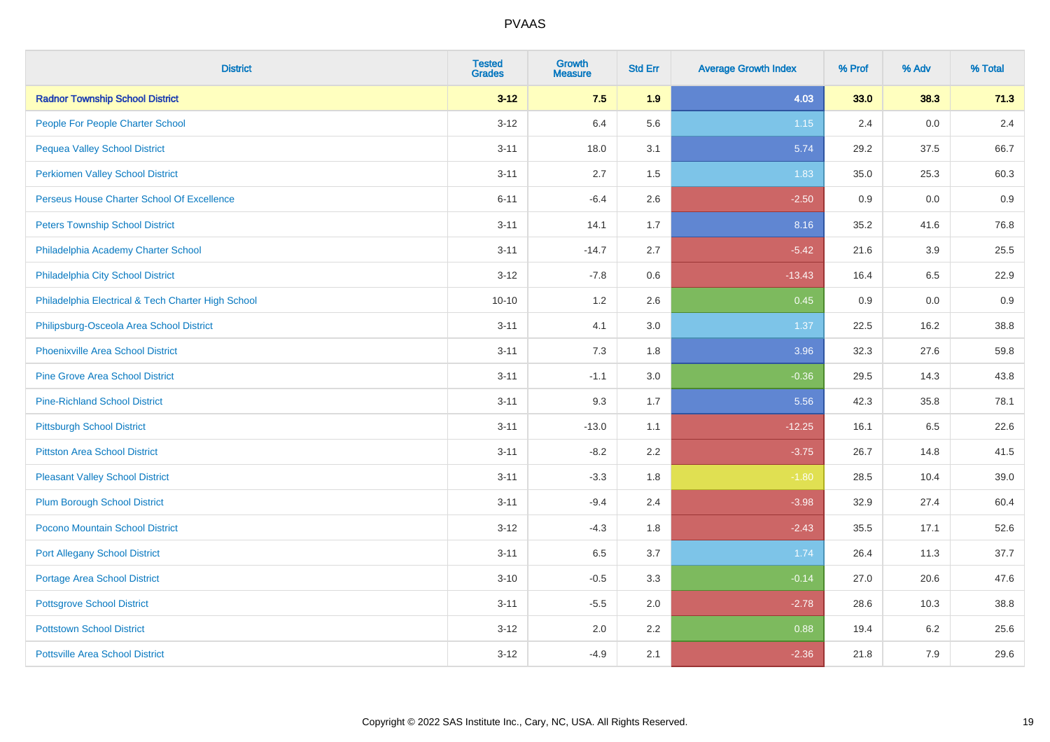| <b>District</b>                                    | <b>Tested</b><br><b>Grades</b> | <b>Growth</b><br><b>Measure</b> | <b>Std Err</b> | <b>Average Growth Index</b> | % Prof | % Adv | % Total |
|----------------------------------------------------|--------------------------------|---------------------------------|----------------|-----------------------------|--------|-------|---------|
| <b>Radnor Township School District</b>             | $3 - 12$                       | 7.5                             | 1.9            | 4.03                        | 33.0   | 38.3  | 71.3    |
| People For People Charter School                   | $3 - 12$                       | 6.4                             | 5.6            | 1.15                        | 2.4    | 0.0   | 2.4     |
| <b>Pequea Valley School District</b>               | $3 - 11$                       | 18.0                            | 3.1            | 5.74                        | 29.2   | 37.5  | 66.7    |
| <b>Perkiomen Valley School District</b>            | $3 - 11$                       | 2.7                             | 1.5            | 1.83                        | 35.0   | 25.3  | 60.3    |
| Perseus House Charter School Of Excellence         | $6 - 11$                       | $-6.4$                          | 2.6            | $-2.50$                     | 0.9    | 0.0   | 0.9     |
| <b>Peters Township School District</b>             | $3 - 11$                       | 14.1                            | 1.7            | 8.16                        | 35.2   | 41.6  | 76.8    |
| Philadelphia Academy Charter School                | $3 - 11$                       | $-14.7$                         | 2.7            | $-5.42$                     | 21.6   | 3.9   | 25.5    |
| Philadelphia City School District                  | $3 - 12$                       | $-7.8$                          | 0.6            | $-13.43$                    | 16.4   | 6.5   | 22.9    |
| Philadelphia Electrical & Tech Charter High School | $10 - 10$                      | 1.2                             | 2.6            | 0.45                        | 0.9    | 0.0   | 0.9     |
| Philipsburg-Osceola Area School District           | $3 - 11$                       | 4.1                             | 3.0            | 1.37                        | 22.5   | 16.2  | 38.8    |
| Phoenixville Area School District                  | $3 - 11$                       | 7.3                             | 1.8            | 3.96                        | 32.3   | 27.6  | 59.8    |
| <b>Pine Grove Area School District</b>             | $3 - 11$                       | $-1.1$                          | 3.0            | $-0.36$                     | 29.5   | 14.3  | 43.8    |
| <b>Pine-Richland School District</b>               | $3 - 11$                       | 9.3                             | 1.7            | 5.56                        | 42.3   | 35.8  | 78.1    |
| <b>Pittsburgh School District</b>                  | $3 - 11$                       | $-13.0$                         | 1.1            | $-12.25$                    | 16.1   | 6.5   | 22.6    |
| <b>Pittston Area School District</b>               | $3 - 11$                       | $-8.2$                          | 2.2            | $-3.75$                     | 26.7   | 14.8  | 41.5    |
| <b>Pleasant Valley School District</b>             | $3 - 11$                       | $-3.3$                          | 1.8            | $-1.80$                     | 28.5   | 10.4  | 39.0    |
| <b>Plum Borough School District</b>                | $3 - 11$                       | $-9.4$                          | 2.4            | $-3.98$                     | 32.9   | 27.4  | 60.4    |
| Pocono Mountain School District                    | $3 - 12$                       | $-4.3$                          | 1.8            | $-2.43$                     | 35.5   | 17.1  | 52.6    |
| <b>Port Allegany School District</b>               | $3 - 11$                       | 6.5                             | 3.7            | 1.74                        | 26.4   | 11.3  | 37.7    |
| <b>Portage Area School District</b>                | $3 - 10$                       | $-0.5$                          | 3.3            | $-0.14$                     | 27.0   | 20.6  | 47.6    |
| <b>Pottsgrove School District</b>                  | $3 - 11$                       | $-5.5$                          | 2.0            | $-2.78$                     | 28.6   | 10.3  | 38.8    |
| <b>Pottstown School District</b>                   | $3-12$                         | 2.0                             | 2.2            | 0.88                        | 19.4   | 6.2   | 25.6    |
| <b>Pottsville Area School District</b>             | $3 - 12$                       | $-4.9$                          | 2.1            | $-2.36$                     | 21.8   | 7.9   | 29.6    |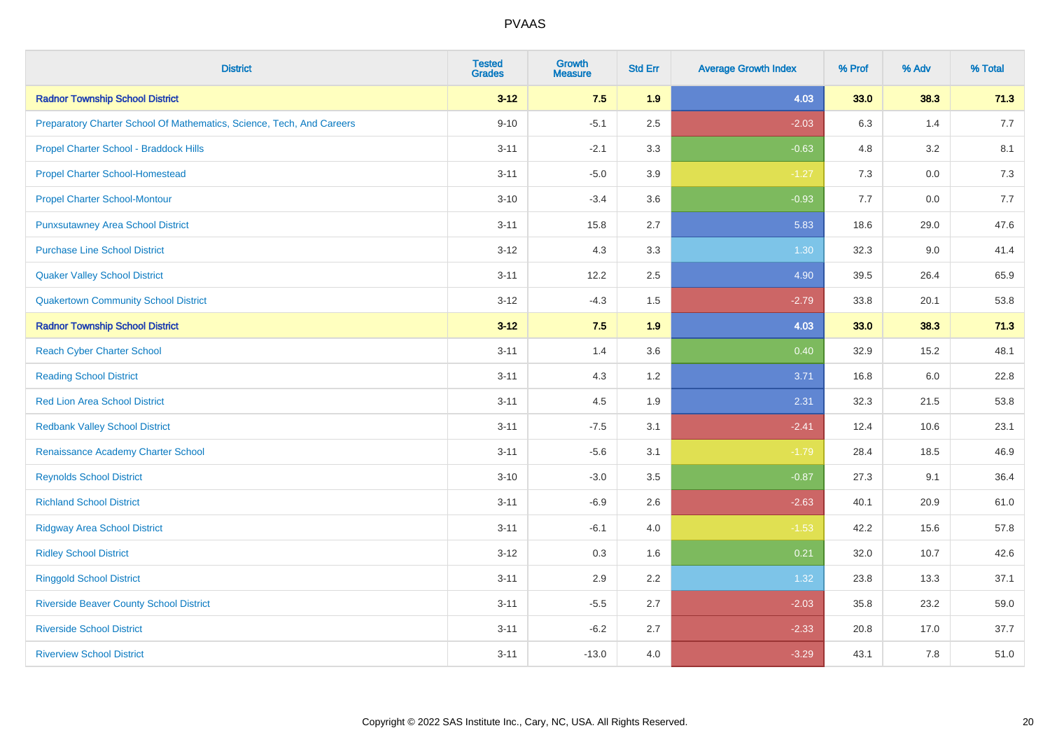| <b>District</b>                                                       | <b>Tested</b><br><b>Grades</b> | <b>Growth</b><br><b>Measure</b> | <b>Std Err</b> | <b>Average Growth Index</b> | % Prof | % Adv   | % Total |
|-----------------------------------------------------------------------|--------------------------------|---------------------------------|----------------|-----------------------------|--------|---------|---------|
| <b>Radnor Township School District</b>                                | $3 - 12$                       | 7.5                             | 1.9            | 4.03                        | 33.0   | 38.3    | 71.3    |
| Preparatory Charter School Of Mathematics, Science, Tech, And Careers | $9 - 10$                       | $-5.1$                          | 2.5            | $-2.03$                     | 6.3    | 1.4     | 7.7     |
| Propel Charter School - Braddock Hills                                | $3 - 11$                       | $-2.1$                          | 3.3            | $-0.63$                     | 4.8    | 3.2     | 8.1     |
| <b>Propel Charter School-Homestead</b>                                | $3 - 11$                       | $-5.0$                          | 3.9            | $-1.27$                     | 7.3    | $0.0\,$ | 7.3     |
| <b>Propel Charter School-Montour</b>                                  | $3 - 10$                       | $-3.4$                          | 3.6            | $-0.93$                     | 7.7    | 0.0     | 7.7     |
| <b>Punxsutawney Area School District</b>                              | $3 - 11$                       | 15.8                            | 2.7            | 5.83                        | 18.6   | 29.0    | 47.6    |
| <b>Purchase Line School District</b>                                  | $3 - 12$                       | 4.3                             | 3.3            | 1.30                        | 32.3   | 9.0     | 41.4    |
| <b>Quaker Valley School District</b>                                  | $3 - 11$                       | 12.2                            | 2.5            | 4.90                        | 39.5   | 26.4    | 65.9    |
| <b>Quakertown Community School District</b>                           | $3 - 12$                       | $-4.3$                          | 1.5            | $-2.79$                     | 33.8   | 20.1    | 53.8    |
| <b>Radnor Township School District</b>                                | $3 - 12$                       | 7.5                             | 1.9            | 4.03                        | 33.0   | 38.3    | 71.3    |
| <b>Reach Cyber Charter School</b>                                     | $3 - 11$                       | 1.4                             | 3.6            | 0.40                        | 32.9   | 15.2    | 48.1    |
| <b>Reading School District</b>                                        | $3 - 11$                       | 4.3                             | 1.2            | 3.71                        | 16.8   | 6.0     | 22.8    |
| <b>Red Lion Area School District</b>                                  | $3 - 11$                       | 4.5                             | 1.9            | 2.31                        | 32.3   | 21.5    | 53.8    |
| <b>Redbank Valley School District</b>                                 | $3 - 11$                       | $-7.5$                          | 3.1            | $-2.41$                     | 12.4   | 10.6    | 23.1    |
| Renaissance Academy Charter School                                    | $3 - 11$                       | $-5.6$                          | 3.1            | $-1.79$                     | 28.4   | 18.5    | 46.9    |
| <b>Reynolds School District</b>                                       | $3 - 10$                       | $-3.0$                          | 3.5            | $-0.87$                     | 27.3   | 9.1     | 36.4    |
| <b>Richland School District</b>                                       | $3 - 11$                       | $-6.9$                          | 2.6            | $-2.63$                     | 40.1   | 20.9    | 61.0    |
| <b>Ridgway Area School District</b>                                   | $3 - 11$                       | $-6.1$                          | 4.0            | $-1.53$                     | 42.2   | 15.6    | 57.8    |
| <b>Ridley School District</b>                                         | $3 - 12$                       | 0.3                             | 1.6            | 0.21                        | 32.0   | 10.7    | 42.6    |
| <b>Ringgold School District</b>                                       | $3 - 11$                       | 2.9                             | 2.2            | 1.32                        | 23.8   | 13.3    | 37.1    |
| <b>Riverside Beaver County School District</b>                        | $3 - 11$                       | $-5.5$                          | 2.7            | $-2.03$                     | 35.8   | 23.2    | 59.0    |
| <b>Riverside School District</b>                                      | $3 - 11$                       | $-6.2$                          | 2.7            | $-2.33$                     | 20.8   | 17.0    | 37.7    |
| <b>Riverview School District</b>                                      | $3 - 11$                       | $-13.0$                         | 4.0            | $-3.29$                     | 43.1   | 7.8     | 51.0    |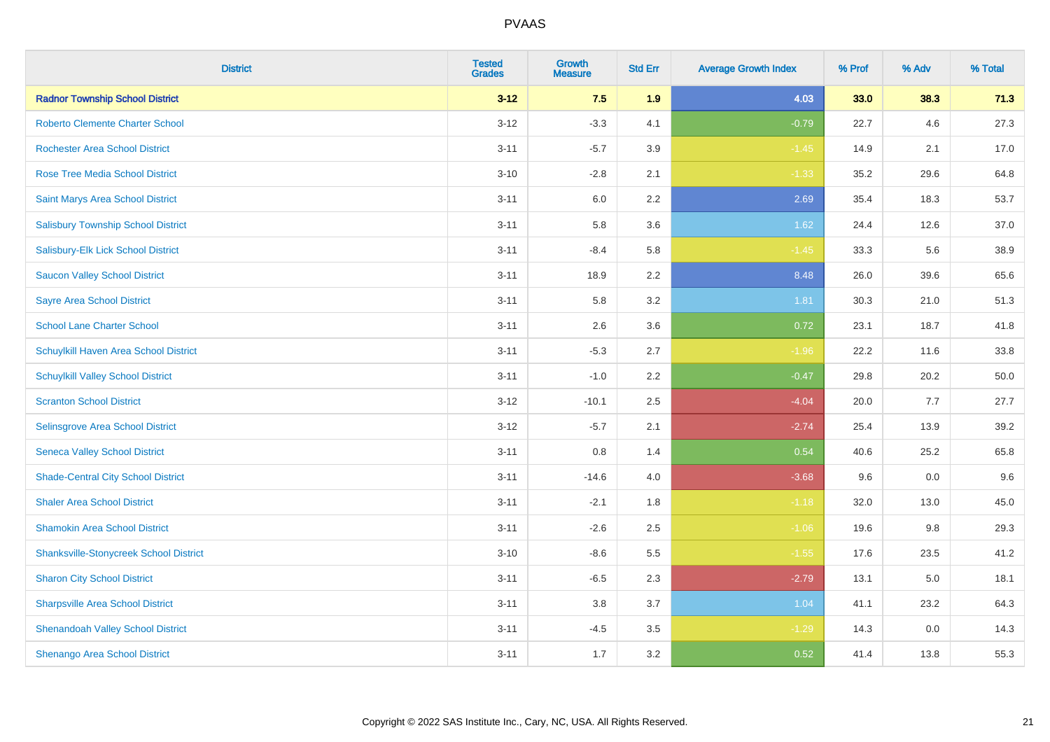| <b>District</b>                               | <b>Tested</b><br><b>Grades</b> | Growth<br><b>Measure</b> | <b>Std Err</b> | <b>Average Growth Index</b> | % Prof | % Adv | % Total |
|-----------------------------------------------|--------------------------------|--------------------------|----------------|-----------------------------|--------|-------|---------|
| <b>Radnor Township School District</b>        | $3 - 12$                       | 7.5                      | 1.9            | 4.03                        | 33.0   | 38.3  | 71.3    |
| <b>Roberto Clemente Charter School</b>        | $3 - 12$                       | $-3.3$                   | 4.1            | $-0.79$                     | 22.7   | 4.6   | 27.3    |
| <b>Rochester Area School District</b>         | $3 - 11$                       | $-5.7$                   | 3.9            | $-1.45$                     | 14.9   | 2.1   | 17.0    |
| Rose Tree Media School District               | $3 - 10$                       | $-2.8$                   | 2.1            | $-1.33$                     | 35.2   | 29.6  | 64.8    |
| Saint Marys Area School District              | $3 - 11$                       | 6.0                      | 2.2            | 2.69                        | 35.4   | 18.3  | 53.7    |
| <b>Salisbury Township School District</b>     | $3 - 11$                       | 5.8                      | 3.6            | 1.62                        | 24.4   | 12.6  | 37.0    |
| Salisbury-Elk Lick School District            | $3 - 11$                       | $-8.4$                   | 5.8            | $-1.45$                     | 33.3   | 5.6   | 38.9    |
| <b>Saucon Valley School District</b>          | $3 - 11$                       | 18.9                     | 2.2            | 8.48                        | 26.0   | 39.6  | 65.6    |
| <b>Sayre Area School District</b>             | $3 - 11$                       | 5.8                      | 3.2            | 1.81                        | 30.3   | 21.0  | 51.3    |
| <b>School Lane Charter School</b>             | $3 - 11$                       | 2.6                      | 3.6            | 0.72                        | 23.1   | 18.7  | 41.8    |
| Schuylkill Haven Area School District         | $3 - 11$                       | $-5.3$                   | 2.7            | $-1.96$                     | 22.2   | 11.6  | 33.8    |
| <b>Schuylkill Valley School District</b>      | $3 - 11$                       | $-1.0$                   | 2.2            | $-0.47$                     | 29.8   | 20.2  | 50.0    |
| <b>Scranton School District</b>               | $3 - 12$                       | $-10.1$                  | 2.5            | $-4.04$                     | 20.0   | 7.7   | 27.7    |
| Selinsgrove Area School District              | $3 - 12$                       | $-5.7$                   | 2.1            | $-2.74$                     | 25.4   | 13.9  | 39.2    |
| <b>Seneca Valley School District</b>          | $3 - 11$                       | $0.8\,$                  | 1.4            | 0.54                        | 40.6   | 25.2  | 65.8    |
| <b>Shade-Central City School District</b>     | $3 - 11$                       | $-14.6$                  | 4.0            | $-3.68$                     | 9.6    | 0.0   | 9.6     |
| <b>Shaler Area School District</b>            | $3 - 11$                       | $-2.1$                   | 1.8            | $-1.18$                     | 32.0   | 13.0  | 45.0    |
| <b>Shamokin Area School District</b>          | $3 - 11$                       | $-2.6$                   | 2.5            | $-1.06$                     | 19.6   | 9.8   | 29.3    |
| <b>Shanksville-Stonycreek School District</b> | $3 - 10$                       | $-8.6$                   | 5.5            | $-1.55$                     | 17.6   | 23.5  | 41.2    |
| <b>Sharon City School District</b>            | $3 - 11$                       | $-6.5$                   | 2.3            | $-2.79$                     | 13.1   | 5.0   | 18.1    |
| <b>Sharpsville Area School District</b>       | $3 - 11$                       | 3.8                      | 3.7            | 1.04                        | 41.1   | 23.2  | 64.3    |
| <b>Shenandoah Valley School District</b>      | $3 - 11$                       | $-4.5$                   | 3.5            | $-1.29$                     | 14.3   | 0.0   | 14.3    |
| Shenango Area School District                 | $3 - 11$                       | 1.7                      | 3.2            | 0.52                        | 41.4   | 13.8  | 55.3    |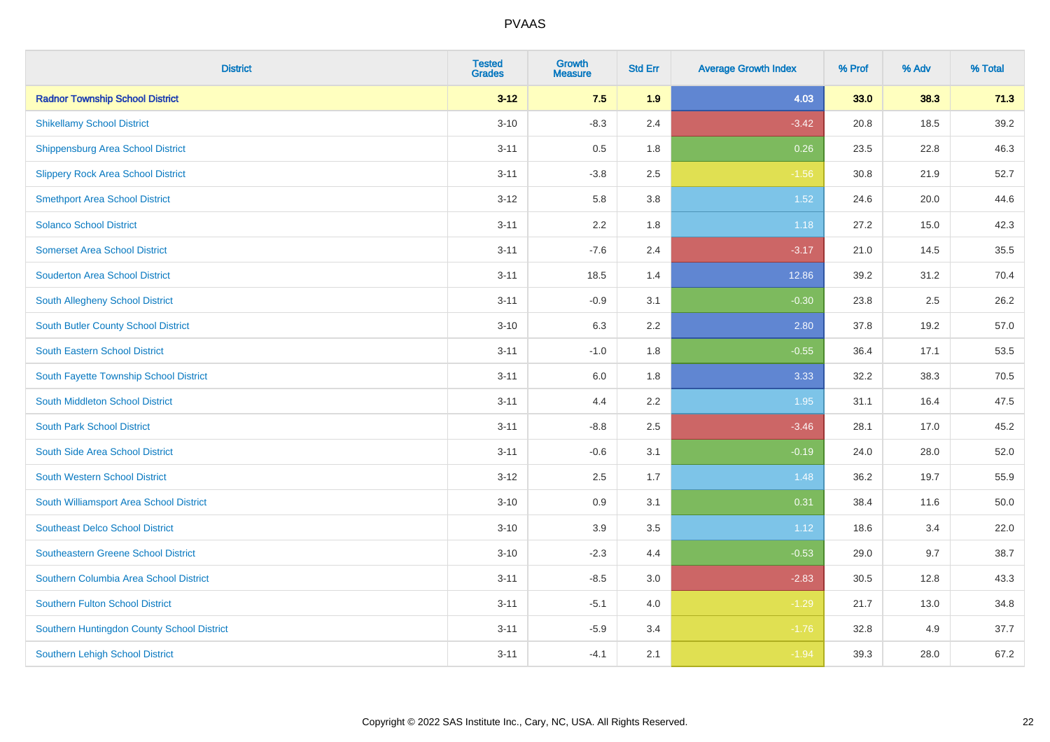| <b>District</b>                            | <b>Tested</b><br><b>Grades</b> | <b>Growth</b><br><b>Measure</b> | <b>Std Err</b> | <b>Average Growth Index</b> | % Prof | % Adv | % Total |
|--------------------------------------------|--------------------------------|---------------------------------|----------------|-----------------------------|--------|-------|---------|
| <b>Radnor Township School District</b>     | $3 - 12$                       | 7.5                             | 1.9            | 4.03                        | 33.0   | 38.3  | 71.3    |
| <b>Shikellamy School District</b>          | $3 - 10$                       | $-8.3$                          | 2.4            | $-3.42$                     | 20.8   | 18.5  | 39.2    |
| <b>Shippensburg Area School District</b>   | $3 - 11$                       | 0.5                             | 1.8            | 0.26                        | 23.5   | 22.8  | 46.3    |
| <b>Slippery Rock Area School District</b>  | $3 - 11$                       | $-3.8$                          | 2.5            | $-1.56$                     | 30.8   | 21.9  | 52.7    |
| <b>Smethport Area School District</b>      | $3 - 12$                       | 5.8                             | 3.8            | 1.52                        | 24.6   | 20.0  | 44.6    |
| <b>Solanco School District</b>             | $3 - 11$                       | 2.2                             | 1.8            | 1.18                        | 27.2   | 15.0  | 42.3    |
| <b>Somerset Area School District</b>       | $3 - 11$                       | $-7.6$                          | 2.4            | $-3.17$                     | 21.0   | 14.5  | 35.5    |
| <b>Souderton Area School District</b>      | $3 - 11$                       | 18.5                            | 1.4            | 12.86                       | 39.2   | 31.2  | 70.4    |
| <b>South Allegheny School District</b>     | $3 - 11$                       | $-0.9$                          | 3.1            | $-0.30$                     | 23.8   | 2.5   | 26.2    |
| South Butler County School District        | $3 - 10$                       | 6.3                             | 2.2            | 2.80                        | 37.8   | 19.2  | 57.0    |
| <b>South Eastern School District</b>       | $3 - 11$                       | $-1.0$                          | 1.8            | $-0.55$                     | 36.4   | 17.1  | 53.5    |
| South Fayette Township School District     | $3 - 11$                       | 6.0                             | 1.8            | 3.33                        | 32.2   | 38.3  | 70.5    |
| South Middleton School District            | $3 - 11$                       | 4.4                             | 2.2            | 1.95                        | 31.1   | 16.4  | 47.5    |
| <b>South Park School District</b>          | $3 - 11$                       | $-8.8$                          | 2.5            | $-3.46$                     | 28.1   | 17.0  | 45.2    |
| South Side Area School District            | $3 - 11$                       | $-0.6$                          | 3.1            | $-0.19$                     | 24.0   | 28.0  | 52.0    |
| <b>South Western School District</b>       | $3 - 12$                       | 2.5                             | 1.7            | 1.48                        | 36.2   | 19.7  | 55.9    |
| South Williamsport Area School District    | $3 - 10$                       | 0.9                             | 3.1            | 0.31                        | 38.4   | 11.6  | 50.0    |
| <b>Southeast Delco School District</b>     | $3 - 10$                       | 3.9                             | 3.5            | 1.12                        | 18.6   | 3.4   | 22.0    |
| <b>Southeastern Greene School District</b> | $3 - 10$                       | $-2.3$                          | 4.4            | $-0.53$                     | 29.0   | 9.7   | 38.7    |
| Southern Columbia Area School District     | $3 - 11$                       | $-8.5$                          | 3.0            | $-2.83$                     | 30.5   | 12.8  | 43.3    |
| <b>Southern Fulton School District</b>     | $3 - 11$                       | $-5.1$                          | 4.0            | $-1.29$                     | 21.7   | 13.0  | 34.8    |
| Southern Huntingdon County School District | $3 - 11$                       | $-5.9$                          | 3.4            | $-1.76$                     | 32.8   | 4.9   | 37.7    |
| <b>Southern Lehigh School District</b>     | $3 - 11$                       | $-4.1$                          | 2.1            | $-1.94$                     | 39.3   | 28.0  | 67.2    |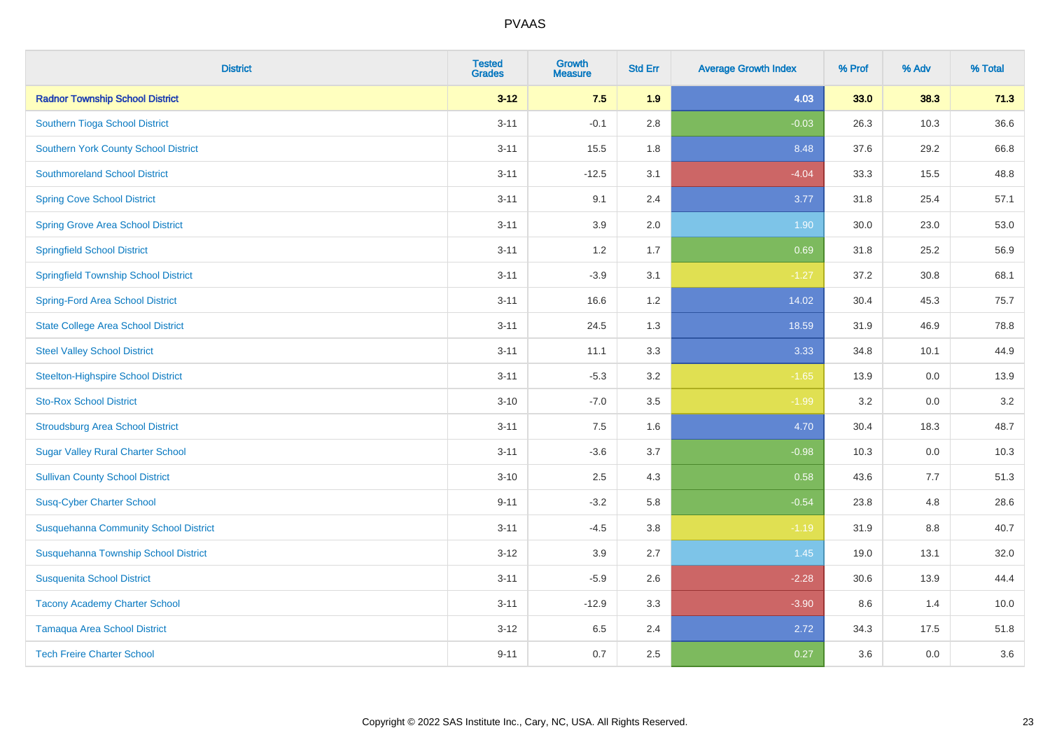| <b>District</b>                              | <b>Tested</b><br><b>Grades</b> | <b>Growth</b><br><b>Measure</b> | <b>Std Err</b> | <b>Average Growth Index</b> | % Prof | % Adv | % Total |
|----------------------------------------------|--------------------------------|---------------------------------|----------------|-----------------------------|--------|-------|---------|
| <b>Radnor Township School District</b>       | $3 - 12$                       | 7.5                             | 1.9            | 4.03                        | 33.0   | 38.3  | 71.3    |
| Southern Tioga School District               | $3 - 11$                       | $-0.1$                          | 2.8            | $-0.03$                     | 26.3   | 10.3  | 36.6    |
| <b>Southern York County School District</b>  | $3 - 11$                       | 15.5                            | 1.8            | 8.48                        | 37.6   | 29.2  | 66.8    |
| <b>Southmoreland School District</b>         | $3 - 11$                       | $-12.5$                         | 3.1            | $-4.04$                     | 33.3   | 15.5  | 48.8    |
| <b>Spring Cove School District</b>           | $3 - 11$                       | 9.1                             | 2.4            | 3.77                        | 31.8   | 25.4  | 57.1    |
| <b>Spring Grove Area School District</b>     | $3 - 11$                       | 3.9                             | 2.0            | 1.90                        | 30.0   | 23.0  | 53.0    |
| <b>Springfield School District</b>           | $3 - 11$                       | 1.2                             | 1.7            | 0.69                        | 31.8   | 25.2  | 56.9    |
| <b>Springfield Township School District</b>  | $3 - 11$                       | $-3.9$                          | 3.1            | $-1.27$                     | 37.2   | 30.8  | 68.1    |
| <b>Spring-Ford Area School District</b>      | $3 - 11$                       | 16.6                            | 1.2            | 14.02                       | 30.4   | 45.3  | 75.7    |
| <b>State College Area School District</b>    | $3 - 11$                       | 24.5                            | 1.3            | 18.59                       | 31.9   | 46.9  | 78.8    |
| <b>Steel Valley School District</b>          | $3 - 11$                       | 11.1                            | 3.3            | 3.33                        | 34.8   | 10.1  | 44.9    |
| <b>Steelton-Highspire School District</b>    | $3 - 11$                       | $-5.3$                          | 3.2            | $-1.65$                     | 13.9   | 0.0   | 13.9    |
| <b>Sto-Rox School District</b>               | $3 - 10$                       | $-7.0$                          | 3.5            | $-1.99$                     | 3.2    | 0.0   | 3.2     |
| <b>Stroudsburg Area School District</b>      | $3 - 11$                       | $7.5\,$                         | 1.6            | 4.70                        | 30.4   | 18.3  | 48.7    |
| <b>Sugar Valley Rural Charter School</b>     | $3 - 11$                       | $-3.6$                          | 3.7            | $-0.98$                     | 10.3   | 0.0   | 10.3    |
| <b>Sullivan County School District</b>       | $3 - 10$                       | 2.5                             | 4.3            | 0.58                        | 43.6   | 7.7   | 51.3    |
| <b>Susq-Cyber Charter School</b>             | $9 - 11$                       | $-3.2$                          | 5.8            | $-0.54$                     | 23.8   | 4.8   | 28.6    |
| <b>Susquehanna Community School District</b> | $3 - 11$                       | $-4.5$                          | 3.8            | $-1.19$                     | 31.9   | 8.8   | 40.7    |
| Susquehanna Township School District         | $3 - 12$                       | 3.9                             | 2.7            | 1.45                        | 19.0   | 13.1  | 32.0    |
| <b>Susquenita School District</b>            | $3 - 11$                       | $-5.9$                          | 2.6            | $-2.28$                     | 30.6   | 13.9  | 44.4    |
| <b>Tacony Academy Charter School</b>         | $3 - 11$                       | $-12.9$                         | 3.3            | $-3.90$                     | 8.6    | 1.4   | 10.0    |
| <b>Tamaqua Area School District</b>          | $3 - 12$                       | 6.5                             | 2.4            | 2.72                        | 34.3   | 17.5  | 51.8    |
| <b>Tech Freire Charter School</b>            | $9 - 11$                       | 0.7                             | 2.5            | 0.27                        | 3.6    | 0.0   | 3.6     |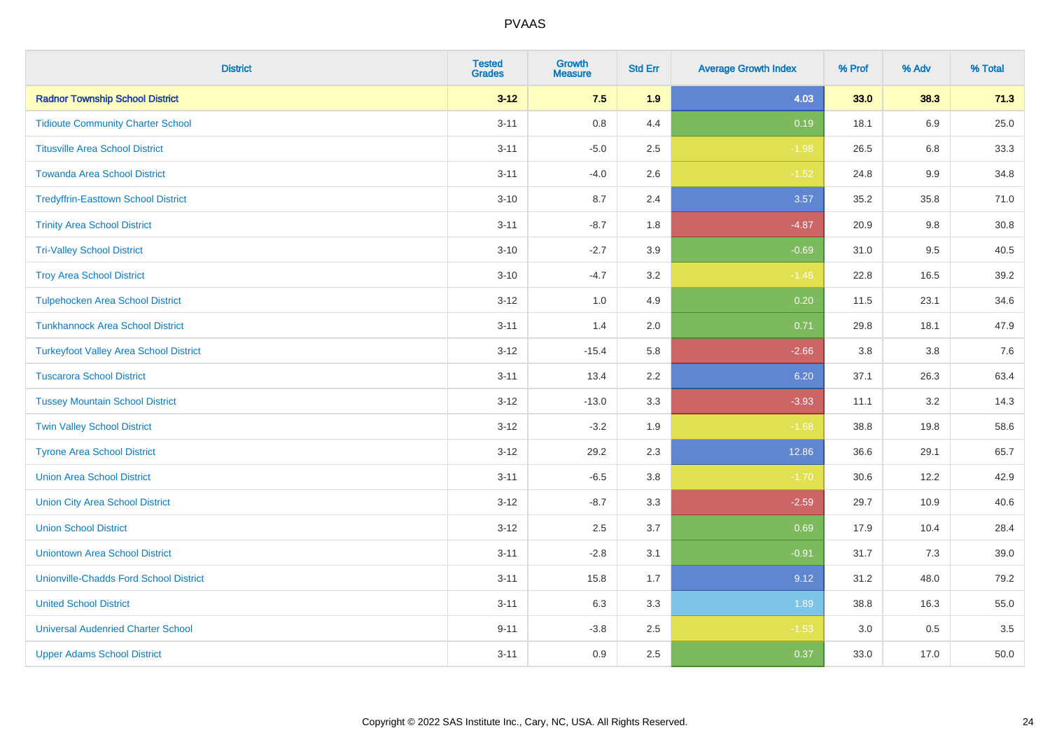| <b>District</b>                               | <b>Tested</b><br><b>Grades</b> | <b>Growth</b><br><b>Measure</b> | <b>Std Err</b> | <b>Average Growth Index</b> | % Prof | % Adv   | % Total |
|-----------------------------------------------|--------------------------------|---------------------------------|----------------|-----------------------------|--------|---------|---------|
| <b>Radnor Township School District</b>        | $3 - 12$                       | 7.5                             | 1.9            | 4.03                        | 33.0   | 38.3    | 71.3    |
| <b>Tidioute Community Charter School</b>      | $3 - 11$                       | $0.8\,$                         | 4.4            | 0.19                        | 18.1   | 6.9     | 25.0    |
| <b>Titusville Area School District</b>        | $3 - 11$                       | $-5.0$                          | 2.5            | $-1.98$                     | 26.5   | 6.8     | 33.3    |
| <b>Towanda Area School District</b>           | $3 - 11$                       | $-4.0$                          | 2.6            | $-1.52$                     | 24.8   | $9.9\,$ | 34.8    |
| <b>Tredyffrin-Easttown School District</b>    | $3 - 10$                       | 8.7                             | 2.4            | 3.57                        | 35.2   | 35.8    | 71.0    |
| <b>Trinity Area School District</b>           | $3 - 11$                       | $-8.7$                          | 1.8            | $-4.87$                     | 20.9   | 9.8     | 30.8    |
| <b>Tri-Valley School District</b>             | $3 - 10$                       | $-2.7$                          | 3.9            | $-0.69$                     | 31.0   | 9.5     | 40.5    |
| <b>Troy Area School District</b>              | $3 - 10$                       | $-4.7$                          | 3.2            | $-1.46$                     | 22.8   | 16.5    | 39.2    |
| <b>Tulpehocken Area School District</b>       | $3 - 12$                       | 1.0                             | 4.9            | 0.20                        | 11.5   | 23.1    | 34.6    |
| <b>Tunkhannock Area School District</b>       | $3 - 11$                       | 1.4                             | 2.0            | 0.71                        | 29.8   | 18.1    | 47.9    |
| <b>Turkeyfoot Valley Area School District</b> | $3 - 12$                       | $-15.4$                         | 5.8            | $-2.66$                     | 3.8    | 3.8     | $7.6$   |
| <b>Tuscarora School District</b>              | $3 - 11$                       | 13.4                            | 2.2            | 6.20                        | 37.1   | 26.3    | 63.4    |
| <b>Tussey Mountain School District</b>        | $3 - 12$                       | $-13.0$                         | 3.3            | $-3.93$                     | 11.1   | 3.2     | 14.3    |
| <b>Twin Valley School District</b>            | $3 - 12$                       | $-3.2$                          | 1.9            | $-1.68$                     | 38.8   | 19.8    | 58.6    |
| <b>Tyrone Area School District</b>            | $3 - 12$                       | 29.2                            | 2.3            | 12.86                       | 36.6   | 29.1    | 65.7    |
| <b>Union Area School District</b>             | $3 - 11$                       | $-6.5$                          | 3.8            | $-1.70$                     | 30.6   | 12.2    | 42.9    |
| <b>Union City Area School District</b>        | $3 - 12$                       | $-8.7$                          | 3.3            | $-2.59$                     | 29.7   | 10.9    | 40.6    |
| <b>Union School District</b>                  | $3 - 12$                       | 2.5                             | 3.7            | 0.69                        | 17.9   | 10.4    | 28.4    |
| <b>Uniontown Area School District</b>         | $3 - 11$                       | $-2.8$                          | 3.1            | $-0.91$                     | 31.7   | 7.3     | 39.0    |
| <b>Unionville-Chadds Ford School District</b> | $3 - 11$                       | 15.8                            | 1.7            | 9.12                        | 31.2   | 48.0    | 79.2    |
| <b>United School District</b>                 | $3 - 11$                       | 6.3                             | 3.3            | 1.89                        | 38.8   | 16.3    | 55.0    |
| <b>Universal Audenried Charter School</b>     | $9 - 11$                       | $-3.8$                          | 2.5            | $-1.53$                     | 3.0    | 0.5     | 3.5     |
| <b>Upper Adams School District</b>            | $3 - 11$                       | 0.9                             | 2.5            | 0.37                        | 33.0   | 17.0    | 50.0    |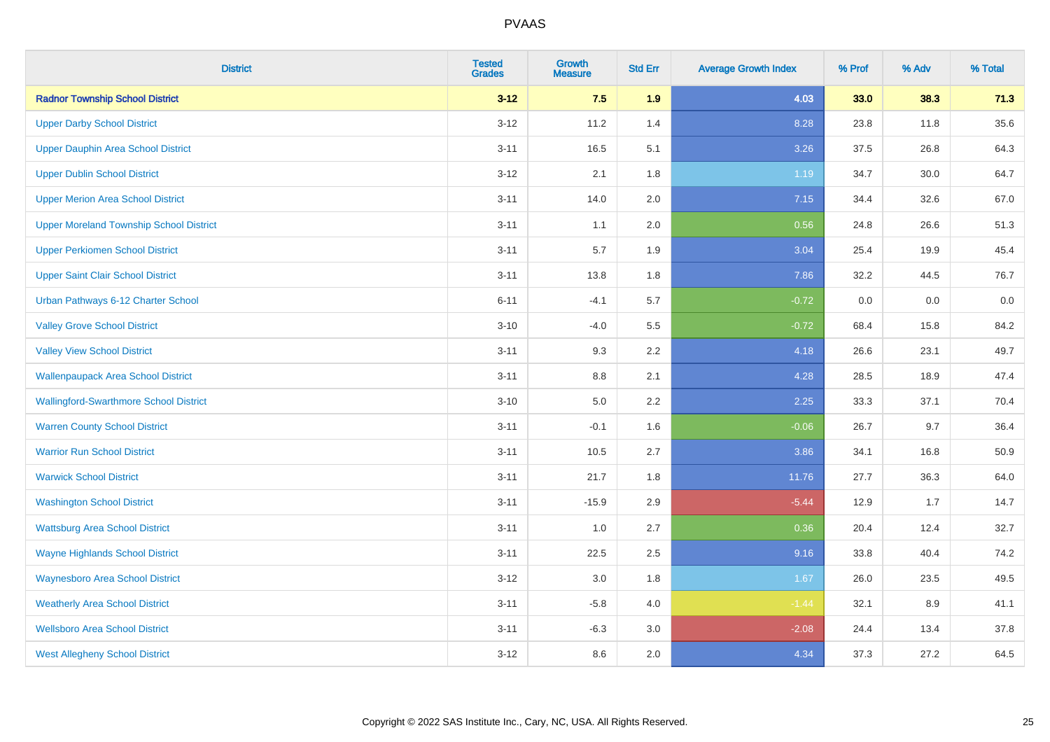| <b>District</b>                                | <b>Tested</b><br><b>Grades</b> | <b>Growth</b><br><b>Measure</b> | <b>Std Err</b> | <b>Average Growth Index</b> | % Prof | % Adv | % Total |
|------------------------------------------------|--------------------------------|---------------------------------|----------------|-----------------------------|--------|-------|---------|
| <b>Radnor Township School District</b>         | $3 - 12$                       | 7.5                             | 1.9            | 4.03                        | 33.0   | 38.3  | 71.3    |
| <b>Upper Darby School District</b>             | $3 - 12$                       | 11.2                            | 1.4            | 8.28                        | 23.8   | 11.8  | 35.6    |
| <b>Upper Dauphin Area School District</b>      | $3 - 11$                       | 16.5                            | 5.1            | 3.26                        | 37.5   | 26.8  | 64.3    |
| <b>Upper Dublin School District</b>            | $3 - 12$                       | 2.1                             | 1.8            | 1.19                        | 34.7   | 30.0  | 64.7    |
| <b>Upper Merion Area School District</b>       | $3 - 11$                       | 14.0                            | 2.0            | 7.15                        | 34.4   | 32.6  | 67.0    |
| <b>Upper Moreland Township School District</b> | $3 - 11$                       | 1.1                             | 2.0            | 0.56                        | 24.8   | 26.6  | 51.3    |
| <b>Upper Perkiomen School District</b>         | $3 - 11$                       | 5.7                             | 1.9            | 3.04                        | 25.4   | 19.9  | 45.4    |
| <b>Upper Saint Clair School District</b>       | $3 - 11$                       | 13.8                            | 1.8            | 7.86                        | 32.2   | 44.5  | 76.7    |
| Urban Pathways 6-12 Charter School             | $6 - 11$                       | $-4.1$                          | 5.7            | $-0.72$                     | 0.0    | 0.0   | $0.0\,$ |
| <b>Valley Grove School District</b>            | $3 - 10$                       | $-4.0$                          | 5.5            | $-0.72$                     | 68.4   | 15.8  | 84.2    |
| <b>Valley View School District</b>             | $3 - 11$                       | 9.3                             | 2.2            | 4.18                        | 26.6   | 23.1  | 49.7    |
| <b>Wallenpaupack Area School District</b>      | $3 - 11$                       | 8.8                             | 2.1            | 4.28                        | 28.5   | 18.9  | 47.4    |
| <b>Wallingford-Swarthmore School District</b>  | $3 - 10$                       | $5.0\,$                         | 2.2            | 2.25                        | 33.3   | 37.1  | 70.4    |
| <b>Warren County School District</b>           | $3 - 11$                       | $-0.1$                          | 1.6            | $-0.06$                     | 26.7   | 9.7   | 36.4    |
| <b>Warrior Run School District</b>             | $3 - 11$                       | 10.5                            | 2.7            | 3.86                        | 34.1   | 16.8  | 50.9    |
| <b>Warwick School District</b>                 | $3 - 11$                       | 21.7                            | 1.8            | 11.76                       | 27.7   | 36.3  | 64.0    |
| <b>Washington School District</b>              | $3 - 11$                       | $-15.9$                         | 2.9            | $-5.44$                     | 12.9   | 1.7   | 14.7    |
| <b>Wattsburg Area School District</b>          | $3 - 11$                       | 1.0                             | 2.7            | 0.36                        | 20.4   | 12.4  | 32.7    |
| <b>Wayne Highlands School District</b>         | $3 - 11$                       | 22.5                            | 2.5            | 9.16                        | 33.8   | 40.4  | 74.2    |
| <b>Waynesboro Area School District</b>         | $3 - 12$                       | 3.0                             | 1.8            | 1.67                        | 26.0   | 23.5  | 49.5    |
| <b>Weatherly Area School District</b>          | $3 - 11$                       | $-5.8$                          | 4.0            | $-1.44$                     | 32.1   | 8.9   | 41.1    |
| <b>Wellsboro Area School District</b>          | $3 - 11$                       | $-6.3$                          | 3.0            | $-2.08$                     | 24.4   | 13.4  | 37.8    |
| <b>West Allegheny School District</b>          | $3 - 12$                       | 8.6                             | 2.0            | 4.34                        | 37.3   | 27.2  | 64.5    |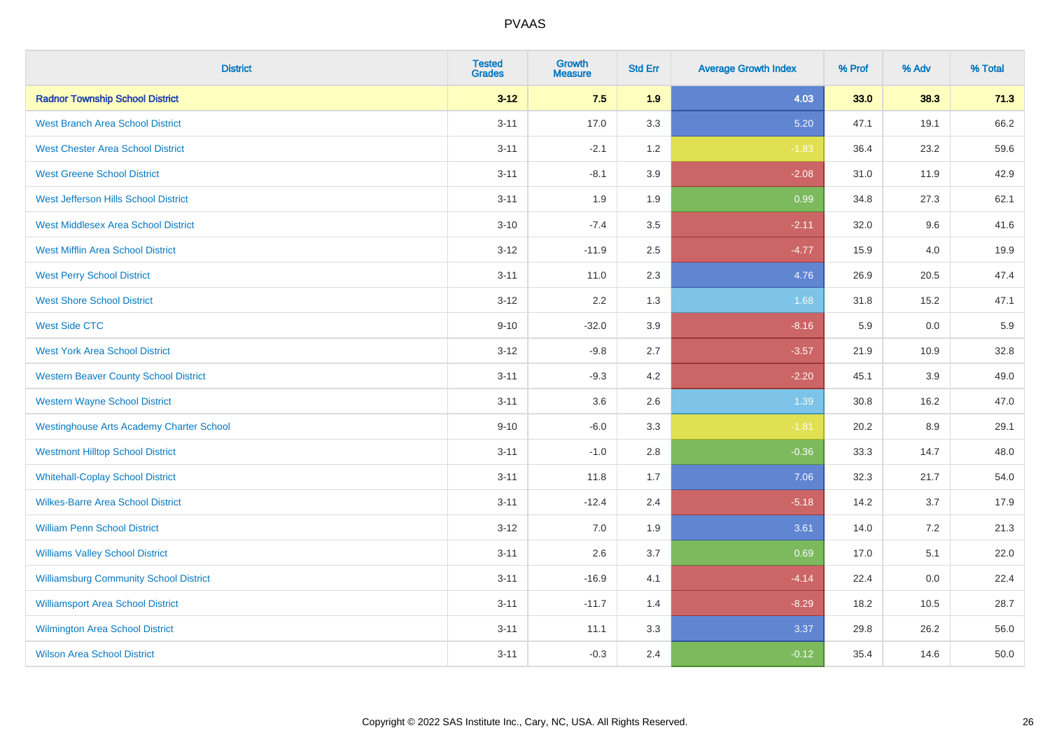| <b>District</b>                                 | <b>Tested</b><br><b>Grades</b> | <b>Growth</b><br><b>Measure</b> | <b>Std Err</b> | <b>Average Growth Index</b> | % Prof | % Adv | % Total |
|-------------------------------------------------|--------------------------------|---------------------------------|----------------|-----------------------------|--------|-------|---------|
| <b>Radnor Township School District</b>          | $3 - 12$                       | 7.5                             | 1.9            | 4.03                        | 33.0   | 38.3  | 71.3    |
| <b>West Branch Area School District</b>         | $3 - 11$                       | 17.0                            | 3.3            | 5.20                        | 47.1   | 19.1  | 66.2    |
| <b>West Chester Area School District</b>        | $3 - 11$                       | $-2.1$                          | 1.2            | $-1.83$                     | 36.4   | 23.2  | 59.6    |
| <b>West Greene School District</b>              | $3 - 11$                       | $-8.1$                          | 3.9            | $-2.08$                     | 31.0   | 11.9  | 42.9    |
| West Jefferson Hills School District            | $3 - 11$                       | 1.9                             | 1.9            | 0.99                        | 34.8   | 27.3  | 62.1    |
| <b>West Middlesex Area School District</b>      | $3 - 10$                       | $-7.4$                          | 3.5            | $-2.11$                     | 32.0   | 9.6   | 41.6    |
| <b>West Mifflin Area School District</b>        | $3 - 12$                       | $-11.9$                         | 2.5            | $-4.77$                     | 15.9   | 4.0   | 19.9    |
| <b>West Perry School District</b>               | $3 - 11$                       | 11.0                            | 2.3            | 4.76                        | 26.9   | 20.5  | 47.4    |
| <b>West Shore School District</b>               | $3 - 12$                       | 2.2                             | 1.3            | 1.68                        | 31.8   | 15.2  | 47.1    |
| <b>West Side CTC</b>                            | $9 - 10$                       | $-32.0$                         | 3.9            | $-8.16$                     | 5.9    | 0.0   | 5.9     |
| <b>West York Area School District</b>           | $3 - 12$                       | $-9.8$                          | 2.7            | $-3.57$                     | 21.9   | 10.9  | 32.8    |
| <b>Western Beaver County School District</b>    | $3 - 11$                       | $-9.3$                          | 4.2            | $-2.20$                     | 45.1   | 3.9   | 49.0    |
| <b>Western Wayne School District</b>            | $3 - 11$                       | 3.6                             | 2.6            | 1.39                        | 30.8   | 16.2  | 47.0    |
| <b>Westinghouse Arts Academy Charter School</b> | $9 - 10$                       | $-6.0$                          | 3.3            | $-1.81$                     | 20.2   | 8.9   | 29.1    |
| <b>Westmont Hilltop School District</b>         | $3 - 11$                       | $-1.0$                          | 2.8            | $-0.36$                     | 33.3   | 14.7  | 48.0    |
| <b>Whitehall-Coplay School District</b>         | $3 - 11$                       | 11.8                            | 1.7            | 7.06                        | 32.3   | 21.7  | 54.0    |
| <b>Wilkes-Barre Area School District</b>        | $3 - 11$                       | $-12.4$                         | 2.4            | $-5.18$                     | 14.2   | 3.7   | 17.9    |
| <b>William Penn School District</b>             | $3 - 12$                       | 7.0                             | 1.9            | 3.61                        | 14.0   | 7.2   | 21.3    |
| <b>Williams Valley School District</b>          | $3 - 11$                       | 2.6                             | 3.7            | 0.69                        | 17.0   | 5.1   | 22.0    |
| <b>Williamsburg Community School District</b>   | $3 - 11$                       | $-16.9$                         | 4.1            | $-4.14$                     | 22.4   | 0.0   | 22.4    |
| <b>Williamsport Area School District</b>        | $3 - 11$                       | $-11.7$                         | 1.4            | $-8.29$                     | 18.2   | 10.5  | 28.7    |
| <b>Wilmington Area School District</b>          | $3 - 11$                       | 11.1                            | 3.3            | 3.37                        | 29.8   | 26.2  | 56.0    |
| <b>Wilson Area School District</b>              | $3 - 11$                       | $-0.3$                          | 2.4            | $-0.12$                     | 35.4   | 14.6  | 50.0    |